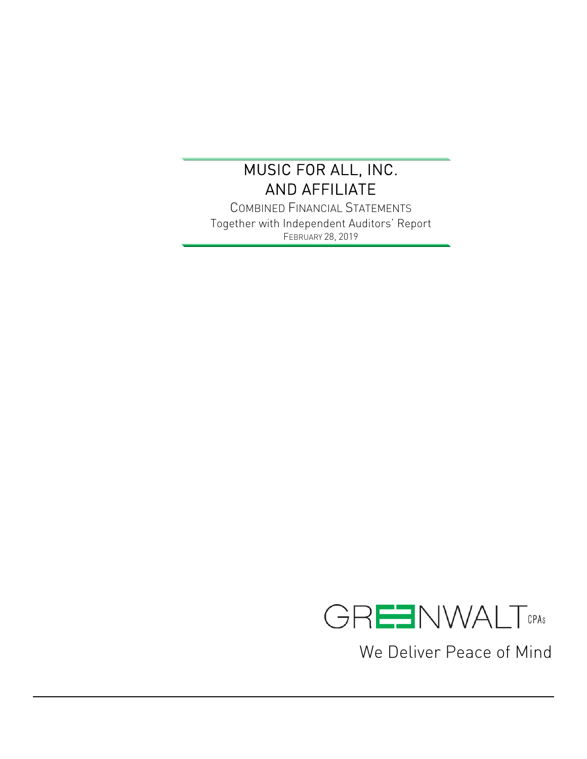$\overline{a}$ 

COMBINED FINANCIAL STATEMENTS Together with Independent Auditors' Report FEBRUARY 28, 2019



We Deliver Peace of Mind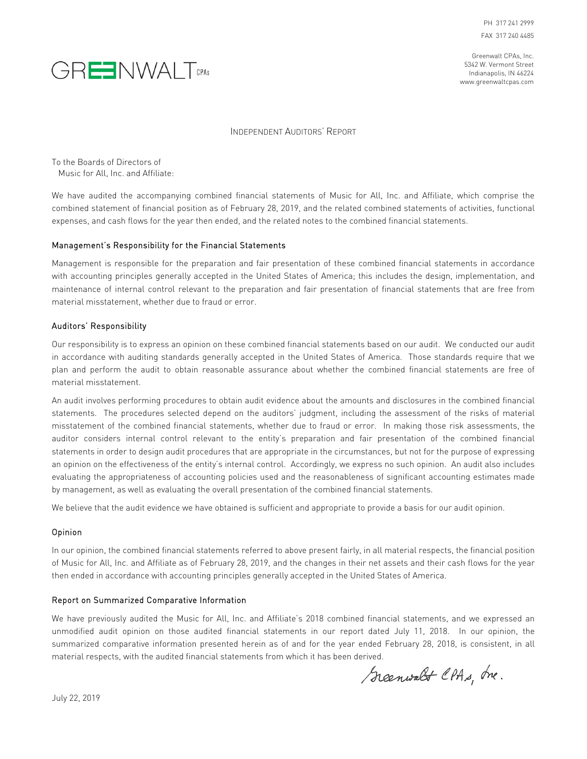

Greenwalt CPAs, Inc. 5342 W. Vermont Street Indianapolis, IN 46224 www.greenwaltcpas.com

INDEPENDENT AUDITORS' REPORT

To the Boards of Directors of Music for All, Inc. and Affiliate:

**GREENWALT**<sub>CPAS</sub>

We have audited the accompanying combined financial statements of Music for All, Inc. and Affiliate, which comprise the combined statement of financial position as of February 28, 2019, and the related combined statements of activities, functional expenses, and cash flows for the year then ended, and the related notes to the combined financial statements.

#### Management's Responsibility for the Financial Statements

Management is responsible for the preparation and fair presentation of these combined financial statements in accordance with accounting principles generally accepted in the United States of America; this includes the design, implementation, and maintenance of internal control relevant to the preparation and fair presentation of financial statements that are free from material misstatement, whether due to fraud or error.

#### Auditors' Responsibility

Our responsibility is to express an opinion on these combined financial statements based on our audit. We conducted our audit in accordance with auditing standards generally accepted in the United States of America. Those standards require that we plan and perform the audit to obtain reasonable assurance about whether the combined financial statements are free of material misstatement.

An audit involves performing procedures to obtain audit evidence about the amounts and disclosures in the combined financial statements. The procedures selected depend on the auditors' judgment, including the assessment of the risks of material misstatement of the combined financial statements, whether due to fraud or error. In making those risk assessments, the auditor considers internal control relevant to the entity's preparation and fair presentation of the combined financial statements in order to design audit procedures that are appropriate in the circumstances, but not for the purpose of expressing an opinion on the effectiveness of the entity's internal control. Accordingly, we express no such opinion. An audit also includes evaluating the appropriateness of accounting policies used and the reasonableness of significant accounting estimates made by management, as well as evaluating the overall presentation of the combined financial statements.

We believe that the audit evidence we have obtained is sufficient and appropriate to provide a basis for our audit opinion.

#### Opinion

In our opinion, the combined financial statements referred to above present fairly, in all material respects, the financial position of Music for All, Inc. and Affiliate as of February 28, 2019, and the changes in their net assets and their cash flows for the year then ended in accordance with accounting principles generally accepted in the United States of America.

#### Report on Summarized Comparative Information

We have previously audited the Music for All, Inc. and Affiliate's 2018 combined financial statements, and we expressed an unmodified audit opinion on those audited financial statements in our report dated July 11, 2018. In our opinion, the summarized comparative information presented herein as of and for the year ended February 28, 2018, is consistent, in all material respects, with the audited financial statements from which it has been derived.

Scenwalt CPAs, Ine.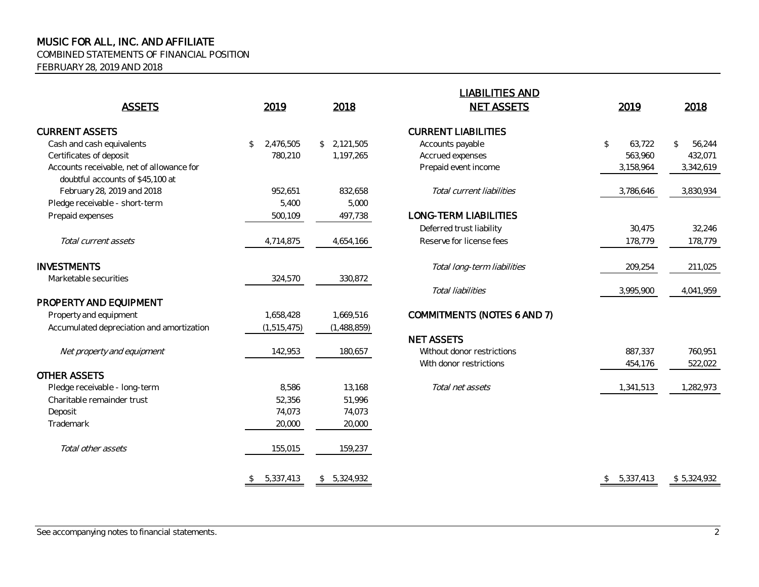COMBINED STATEMENTS OF FINANCIAL POSITION

FEBRUARY 28, 2019 AND 2018

|                                                                               |                 |             | LIABILITIES AND                    |                         |              |
|-------------------------------------------------------------------------------|-----------------|-------------|------------------------------------|-------------------------|--------------|
| <b>ASSETS</b>                                                                 | 2019            | 2018        | <b>NET ASSETS</b>                  | 2019                    | 2018         |
| <b>CURRENT ASSETS</b>                                                         |                 |             | <b>CURRENT LIABILITIES</b>         |                         |              |
| Cash and cash equivalents                                                     | 2,476,505<br>\$ | \$2,121,505 | Accounts payable                   | 63,722<br>$\mathcal{L}$ | 56,244<br>\$ |
| Certificates of deposit                                                       | 780,210         | 1,197,265   | Accrued expenses                   | 563,960                 | 432,071      |
| Accounts receivable, net of allowance for<br>doubtful accounts of \$45,100 at |                 |             | Prepaid event income               | 3,158,964               | 3,342,619    |
| February 28, 2019 and 2018                                                    | 952,651         | 832,658     | Total current liabilities          | 3,786,646               | 3,830,934    |
| Pledge receivable - short-term                                                | 5,400           | 5,000       |                                    |                         |              |
| Prepaid expenses                                                              | 500,109         | 497,738     | <b>LONG-TERM LIABILITIES</b>       |                         |              |
|                                                                               |                 |             | Deferred trust liability           | 30,475                  | 32,246       |
| Total current assets                                                          | 4,714,875       | 4,654,166   | Reserve for license fees           | 178,779                 | 178,779      |
| <b>INVESTMENTS</b>                                                            |                 |             | Total long-term liabilities        | 209,254                 | 211,025      |
| Marketable securities                                                         | 324,570         | 330,872     |                                    |                         |              |
|                                                                               |                 |             | Total liabilities                  | 3,995,900               | 4,041,959    |
| PROPERTY AND EQUIPMENT                                                        |                 |             |                                    |                         |              |
| Property and equipment                                                        | 1,658,428       | 1,669,516   | <b>COMMITMENTS (NOTES 6 AND 7)</b> |                         |              |
| Accumulated depreciation and amortization                                     | (1, 515, 475)   | (1,488,859) |                                    |                         |              |
|                                                                               |                 |             | <b>NET ASSETS</b>                  |                         |              |
| Net property and equipment                                                    | 142,953         | 180,657     | Without donor restrictions         | 887,337                 | 760,951      |
|                                                                               |                 |             | With donor restrictions            | 454,176                 | 522,022      |
| <b>OTHER ASSETS</b>                                                           |                 |             |                                    |                         |              |
| Pledge receivable - long-term                                                 | 8,586           | 13,168      | Total net assets                   | 1,341,513               | 1,282,973    |
| Charitable remainder trust                                                    | 52,356          | 51,996      |                                    |                         |              |
| Deposit                                                                       | 74,073          | 74,073      |                                    |                         |              |
| Trademark                                                                     | 20,000          | 20,000      |                                    |                         |              |
| Total other assets                                                            | 155,015         | 159,237     |                                    |                         |              |
|                                                                               | 5,337,413<br>\$ | \$5,324,932 |                                    | \$5,337,413             | \$5,324,932  |

| 2019             | 2018                      | <b>LIABILITIES AND</b><br><b>NET ASSETS</b> | 2019            | 2018         |
|------------------|---------------------------|---------------------------------------------|-----------------|--------------|
|                  |                           | <b>CURRENT LIABILITIES</b>                  |                 |              |
| \$<br>2,476,505  | 2,121,505<br>$\mathbb{S}$ | Accounts payable                            | \$<br>63,722    | 56,244<br>\$ |
| 780,210          | 1,197,265                 | Accrued expenses                            | 563,960         | 432,071      |
|                  |                           | Prepaid event income                        | 3,158,964       | 3,342,619    |
| 952,651<br>5,400 | 832,658<br>5,000          | Total current liabilities                   | 3,786,646       | 3,830,934    |
| 500,109          | 497,738                   | LONG-TERM LIABILITIES                       |                 |              |
|                  |                           | Deferred trust liability                    | 30,475          | 32,246       |
| 4,714,875        | 4,654,166                 | Reserve for license fees                    | 178,779         | 178,779      |
| 324,570          | 330,872                   | Total long-term liabilities                 | 209,254         | 211,025      |
|                  |                           | Total liabilities                           | 3,995,900       | 4,041,959    |
| 1,658,428        | 1,669,516                 | <b>COMMITMENTS (NOTES 6 AND 7)</b>          |                 |              |
| (1, 515, 475)    | (1,488,859)               |                                             |                 |              |
|                  |                           | <b>NET ASSETS</b>                           |                 |              |
| 142,953          | 180,657                   | Without donor restrictions                  | 887,337         | 760,951      |
|                  |                           | With donor restrictions                     | 454,176         | 522,022      |
| 8,586            | 13,168                    | Total net assets                            | 1,341,513       | 1,282,973    |
| 52,356           | 51,996                    |                                             |                 |              |
| 74,073           | 74,073                    |                                             |                 |              |
| 20,000           | 20,000                    |                                             |                 |              |
| 155,015          | 159,237                   |                                             |                 |              |
| \$<br>5,337,413  | \$5,324,932               |                                             | 5,337,413<br>\$ | \$5,324,932  |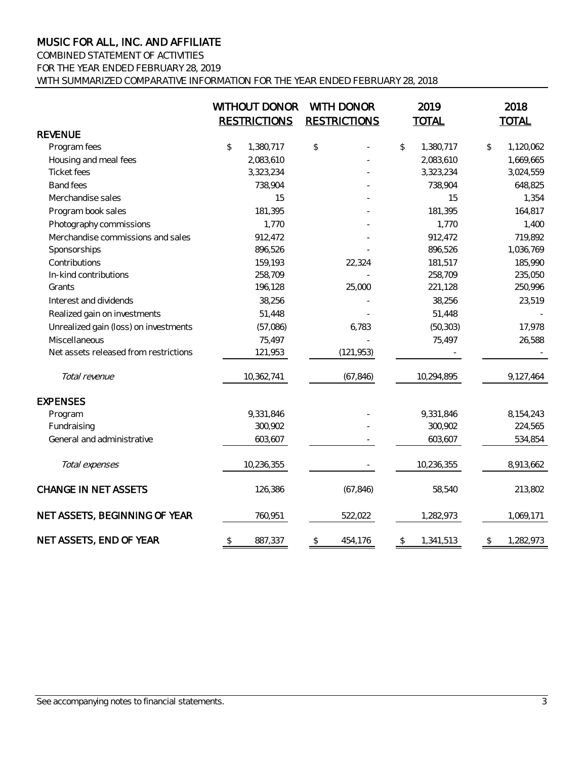COMBINED STATEMENT OF ACTIVITIES

FOR THE YEAR ENDED FEBRUARY 28, 2019

WITH SUMMARIZED COMPARATIVE INFORMATION FOR THE YEAR ENDED FEBRUARY 28, 2018

|                                       | <b>WITHOUT DONOR</b><br><b>RESTRICTIONS</b> | WITH DONOR<br><b>RESTRICTIONS</b> | 2019<br><b>TOTAL</b> | 2018<br><b>TOTAL</b> |
|---------------------------------------|---------------------------------------------|-----------------------------------|----------------------|----------------------|
| <b>REVENUE</b>                        |                                             |                                   |                      |                      |
| Program fees                          | \$<br>1,380,717                             | $\mathcal{L}$                     | \$<br>1,380,717      | \$<br>1,120,062      |
| Housing and meal fees                 | 2,083,610                                   |                                   | 2,083,610            | 1,669,665            |
| <b>Ticket fees</b>                    | 3,323,234                                   |                                   | 3,323,234            | 3,024,559            |
| <b>Band fees</b>                      | 738,904                                     |                                   | 738,904              | 648,825              |
| Merchandise sales                     | 15                                          |                                   | 15                   | 1,354                |
| Program book sales                    | 181,395                                     |                                   | 181,395              | 164,817              |
| Photography commissions               | 1,770                                       |                                   | 1,770                | 1,400                |
| Merchandise commissions and sales     | 912,472                                     |                                   | 912,472              | 719,892              |
| Sponsorships                          | 896,526                                     |                                   | 896,526              | 1,036,769            |
| Contributions                         | 159,193                                     | 22,324                            | 181,517              | 185,990              |
| In-kind contributions                 | 258,709                                     |                                   | 258,709              | 235,050              |
| Grants                                | 196,128                                     | 25,000                            | 221,128              | 250,996              |
| Interest and dividends                | 38,256                                      |                                   | 38,256               | 23,519               |
| Realized gain on investments          | 51,448                                      |                                   | 51,448               |                      |
| Unrealized gain (loss) on investments | (57,086)                                    | 6,783                             | (50, 303)            | 17,978               |
| Miscellaneous                         | 75,497                                      |                                   | 75,497               | 26,588               |
| Net assets released from restrictions | 121,953                                     | (121, 953)                        |                      |                      |
| Total revenue                         | 10,362,741                                  | (67, 846)                         | 10,294,895           | 9,127,464            |
| <b>EXPENSES</b>                       |                                             |                                   |                      |                      |
| Program                               | 9,331,846                                   |                                   | 9,331,846            | 8,154,243            |
| Fundraising                           | 300,902                                     |                                   | 300,902              | 224,565              |
| General and administrative            | 603,607                                     |                                   | 603,607              | 534,854              |
| Total expenses                        | 10,236,355                                  |                                   | 10,236,355           | 8,913,662            |
| <b>CHANGE IN NET ASSETS</b>           | 126,386                                     | (67, 846)                         | 58,540               | 213,802              |
| NET ASSETS, BEGINNING OF YEAR         | 760,951                                     | 522,022                           | 1,282,973            | 1,069,171            |
| NET ASSETS, END OF YEAR               | 887,337<br>\$                               | $\updownarrow$<br>454,176         | \$<br>1,341,513      | 1,282,973<br>\$      |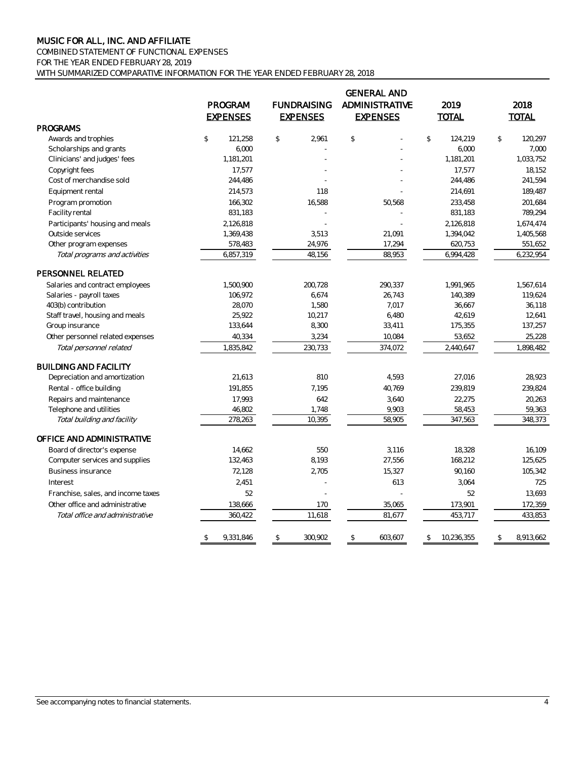COMBINED STATEMENT OF FUNCTIONAL EXPENSES FOR THE YEAR ENDED FEBRUARY 28, 2019 WITH SUMMARIZED COMPARATIVE INFORMATION FOR THE YEAR ENDED FEBRUARY 28, 2018

|                                    | PROGRAM                  | <b>FUNDRAISING</b> | <b>ADMINISTRATIVE</b> | 2019             | 2018            |
|------------------------------------|--------------------------|--------------------|-----------------------|------------------|-----------------|
|                                    | <b>EXPENSES</b>          | <b>EXPENSES</b>    | <b>EXPENSES</b>       | <b>TOTAL</b>     | <b>TOTAL</b>    |
| <b>PROGRAMS</b>                    |                          |                    |                       |                  |                 |
| Awards and trophies                | $\mathcal{L}$<br>121,258 | 2,961<br>\$        | \$                    | \$<br>124,219    | \$<br>120,297   |
| Scholarships and grants            | 6,000                    |                    |                       | 6,000            | 7,000           |
| Clinicians' and judges' fees       | 1,181,201                |                    |                       | 1,181,201        | 1,033,752       |
| Copyright fees                     | 17.577                   |                    |                       | 17.577           | 18,152          |
| Cost of merchandise sold           | 244,486                  |                    |                       | 244,486          | 241,594         |
| Equipment rental                   | 214,573                  | 118                |                       | 214,691          | 189,487         |
| Program promotion                  | 166,302                  | 16,588             | 50,568                | 233,458          | 201,684         |
| Facility rental                    | 831,183                  |                    |                       | 831,183          | 789,294         |
| Participants' housing and meals    | 2,126,818                |                    |                       | 2,126,818        | 1,674,474       |
| Outside services                   | 1,369,438                | 3,513              | 21,091                | 1,394,042        | 1,405,568       |
| Other program expenses             | 578,483                  | 24,976             | 17,294                | 620,753          | 551,652         |
| Total programs and activities      | 6,857,319                | 48,156             | 88,953                | 6,994,428        | 6,232,954       |
| PERSONNEL RELATED                  |                          |                    |                       |                  |                 |
| Salaries and contract employees    | 1,500,900                | 200,728            | 290,337               | 1,991,965        | 1,567,614       |
| Salaries - payroll taxes           | 106,972                  | 6,674              | 26,743                | 140,389          | 119,624         |
| 403(b) contribution                | 28,070                   | 1,580              | 7,017                 | 36,667           | 36,118          |
| Staff travel, housing and meals    | 25,922                   | 10,217             | 6,480                 | 42,619           | 12,641          |
| Group insurance                    | 133,644                  | 8,300              | 33,411                | 175,355          | 137,257         |
| Other personnel related expenses   | 40,334                   | 3,234              | 10,084                | 53,652           | 25,228          |
| Total personnel related            | 1,835,842                | 230,733            | 374,072               | 2,440,647        | 1,898,482       |
| <b>BUILDING AND FACILITY</b>       |                          |                    |                       |                  |                 |
| Depreciation and amortization      | 21.613                   | 810                | 4.593                 | 27.016           | 28,923          |
| Rental - office building           | 191,855                  | 7.195              | 40,769                | 239,819          | 239,824         |
| Repairs and maintenance            | 17,993                   | 642                | 3,640                 | 22,275           | 20,263          |
| Telephone and utilities            | 46,802                   | 1,748              | 9,903                 | 58,453           | 59,363          |
| Total building and facility        | 278,263                  | 10,395             | 58,905                | 347,563          | 348,373         |
| OFFICE AND ADMINISTRATIVE          |                          |                    |                       |                  |                 |
| Board of director's expense        | 14.662                   | 550                | 3.116                 | 18,328           | 16,109          |
| Computer services and supplies     | 132,463                  | 8,193              | 27,556                | 168,212          | 125,625         |
| <b>Business insurance</b>          | 72.128                   | 2,705              | 15,327                | 90,160           | 105,342         |
| Interest                           | 2,451                    |                    | 613                   | 3,064            | 725             |
| Franchise, sales, and income taxes | 52                       |                    |                       | 52               | 13,693          |
| Other office and administrative    | 138,666                  | 170                | 35,065                | 173,901          | 172,359         |
| Total office and administrative    | 360,422                  | 11,618             | 81,677                | 453,717          | 433,853         |
|                                    | \$<br>9,331,846          | \$<br>300,902      | \$<br>603,607         | \$<br>10,236,355 | 8,913,662<br>\$ |

See accompanying notes to financial statements. And the statements of the statements of the statements of the statements of the statements of the statements of the statements of the statements of the statements of the stat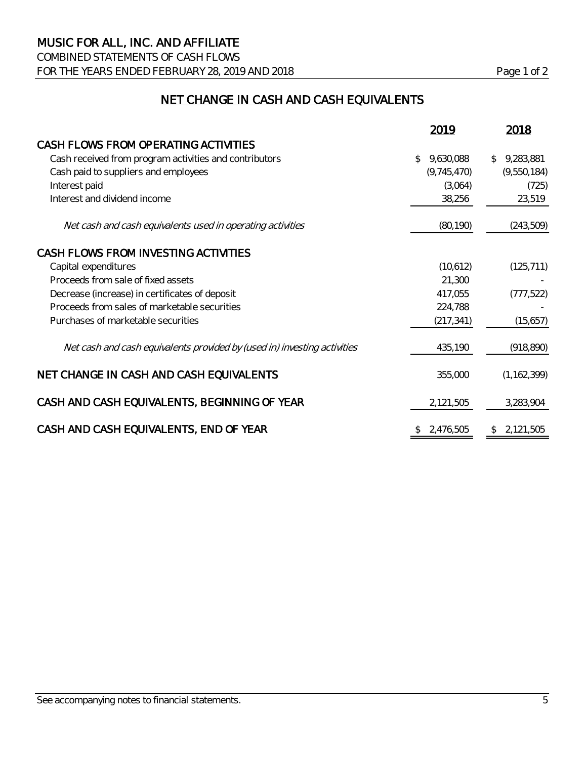COMBINED STATEMENTS OF CASH FLOWS FOR THE YEARS ENDED FEBRUARY 28, 2019 AND 2018 Page 1 of 2

## NET CHANGE IN CASH AND CASH EQUIVALENTS

|                                                                          | 2019                      | 2018                      |
|--------------------------------------------------------------------------|---------------------------|---------------------------|
| CASH FLOWS FROM OPERATING ACTIVITIES                                     |                           |                           |
| Cash received from program activities and contributors                   | 9,630,088<br>$\mathbb{S}$ | 9,283,881<br>$\mathbb{S}$ |
| Cash paid to suppliers and employees                                     | (9, 745, 470)             | (9,550,184)               |
| Interest paid                                                            | (3,064)                   | (725)                     |
| Interest and dividend income                                             | 38,256                    | 23,519                    |
| Net cash and cash equivalents used in operating activities               | (80, 190)                 | (243,509)                 |
| CASH FLOWS FROM INVESTING ACTIVITIES                                     |                           |                           |
| Capital expenditures                                                     | (10,612)                  | (125, 711)                |
| Proceeds from sale of fixed assets                                       | 21,300                    |                           |
| Decrease (increase) in certificates of deposit                           | 417,055                   | (777, 522)                |
| Proceeds from sales of marketable securities                             | 224,788                   |                           |
| Purchases of marketable securities                                       | (217, 341)                | (15,657)                  |
| Net cash and cash equivalents provided by (used in) investing activities | 435,190                   | (918, 890)                |
| NET CHANGE IN CASH AND CASH EQUIVALENTS                                  | 355,000                   | (1, 162, 399)             |
| CASH AND CASH EQUIVALENTS, BEGINNING OF YEAR                             | 2,121,505                 | 3,283,904                 |
| CASH AND CASH EQUIVALENTS, END OF YEAR                                   | 2,476,505                 | 2,121,505<br>\$           |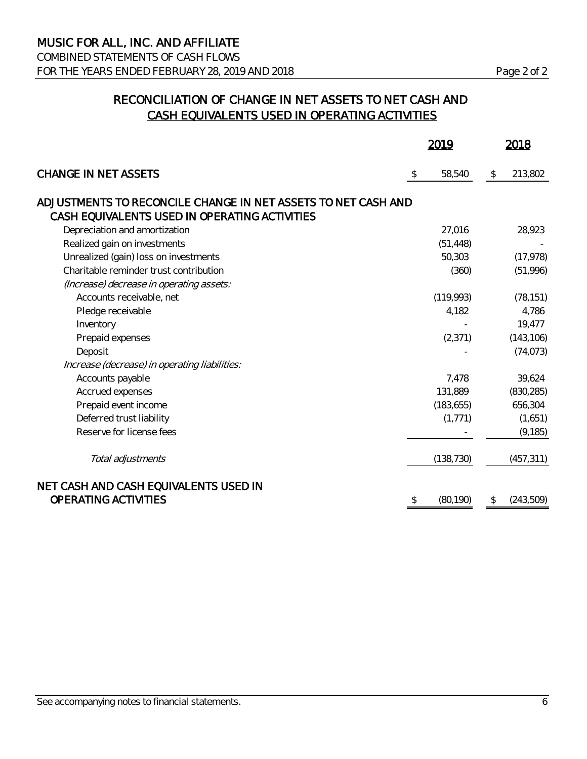FOR THE YEARS ENDED FEBRUARY 28, 2019 AND 2018 **Page 2 of 2** Page 2 of 2

## RECONCILIATION OF CHANGE IN NET ASSETS TO NET CASH AND CASH EQUIVALENTS USED IN OPERATING ACTIVITIES

|                                                               |               | 2019       |               | 2018       |
|---------------------------------------------------------------|---------------|------------|---------------|------------|
| <b>CHANGE IN NET ASSETS</b>                                   | $\frac{1}{2}$ | 58,540     | $\mathcal{L}$ | 213,802    |
| ADJUSTMENTS TO RECONCILE CHANGE IN NET ASSETS TO NET CASH AND |               |            |               |            |
| CASH EQUIVALENTS USED IN OPERATING ACTIVITIES                 |               |            |               |            |
| Depreciation and amortization                                 |               | 27,016     |               | 28,923     |
| Realized gain on investments                                  |               | (51, 448)  |               |            |
| Unrealized (gain) loss on investments                         |               | 50,303     |               | (17, 978)  |
| Charitable reminder trust contribution                        |               | (360)      |               | (51,996)   |
| (Increase) decrease in operating assets:                      |               |            |               |            |
| Accounts receivable, net                                      |               | (119,993)  |               | (78, 151)  |
| Pledge receivable                                             |               | 4,182      |               | 4,786      |
| Inventory                                                     |               |            |               | 19,477     |
| Prepaid expenses                                              |               | (2, 371)   |               | (143, 106) |
| Deposit                                                       |               |            |               | (74, 073)  |
| Increase (decrease) in operating liabilities:                 |               |            |               |            |
| Accounts payable                                              |               | 7,478      |               | 39,624     |
| Accrued expenses                                              |               | 131,889    |               | (830, 285) |
| Prepaid event income                                          |               | (183, 655) |               | 656,304    |
| Deferred trust liability                                      |               | (1, 771)   |               | (1,651)    |
| Reserve for license fees                                      |               |            |               | (9, 185)   |
| Total adjustments                                             |               | (138, 730) |               | (457, 311) |
| NET CASH AND CASH EQUIVALENTS USED IN                         |               |            |               |            |
| <b>OPERATING ACTIVITIES</b>                                   | \$            | (80, 190)  | \$            | (243,509)  |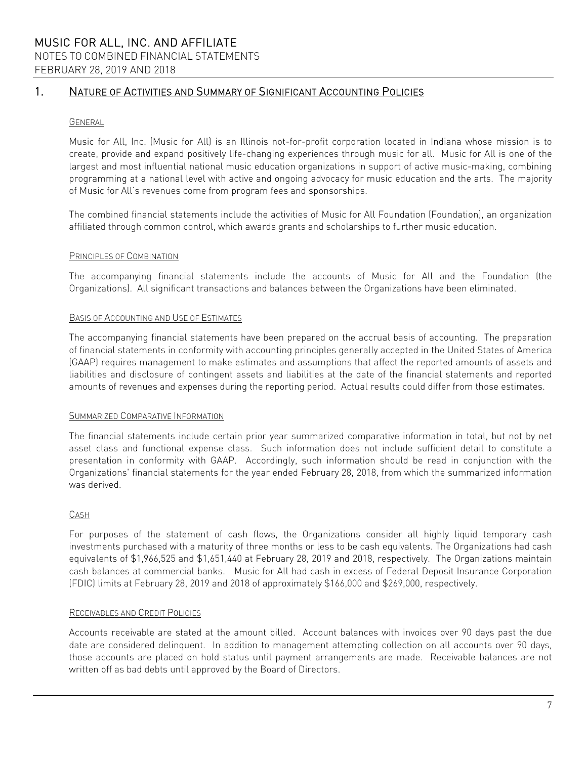## 1. NATURE OF ACTIVITIES AND SUMMARY OF SIGNIFICANT ACCOUNTING POLICIES

### GENERAL

Music for All, Inc. (Music for All) is an Illinois not-for-profit corporation located in Indiana whose mission is to create, provide and expand positively life-changing experiences through music for all. Music for All is one of the largest and most influential national music education organizations in support of active music-making, combining programming at a national level with active and ongoing advocacy for music education and the arts. The majority of Music for All's revenues come from program fees and sponsorships.

The combined financial statements include the activities of Music for All Foundation (Foundation), an organization affiliated through common control, which awards grants and scholarships to further music education.

#### PRINCIPLES OF COMBINATION

The accompanying financial statements include the accounts of Music for All and the Foundation (the Organizations). All significant transactions and balances between the Organizations have been eliminated.

### BASIS OF ACCOUNTING AND USE OF ESTIMATES

The accompanying financial statements have been prepared on the accrual basis of accounting. The preparation of financial statements in conformity with accounting principles generally accepted in the United States of America (GAAP) requires management to make estimates and assumptions that affect the reported amounts of assets and liabilities and disclosure of contingent assets and liabilities at the date of the financial statements and reported amounts of revenues and expenses during the reporting period. Actual results could differ from those estimates.

### SUMMARIZED COMPARATIVE INFORMATION

The financial statements include certain prior year summarized comparative information in total, but not by net asset class and functional expense class. Such information does not include sufficient detail to constitute a presentation in conformity with GAAP. Accordingly, such information should be read in conjunction with the Organizations' financial statements for the year ended February 28, 2018, from which the summarized information was derived.

### CASH

For purposes of the statement of cash flows, the Organizations consider all highly liquid temporary cash investments purchased with a maturity of three months or less to be cash equivalents. The Organizations had cash equivalents of \$1,966,525 and \$1,651,440 at February 28, 2019 and 2018, respectively. The Organizations maintain cash balances at commercial banks. Music for All had cash in excess of Federal Deposit Insurance Corporation (FDIC) limits at February 28, 2019 and 2018 of approximately \$166,000 and \$269,000, respectively.

### RECEIVABLES AND CREDIT POLICIES

Accounts receivable are stated at the amount billed. Account balances with invoices over 90 days past the due date are considered delinquent. In addition to management attempting collection on all accounts over 90 days, those accounts are placed on hold status until payment arrangements are made. Receivable balances are not written off as bad debts until approved by the Board of Directors.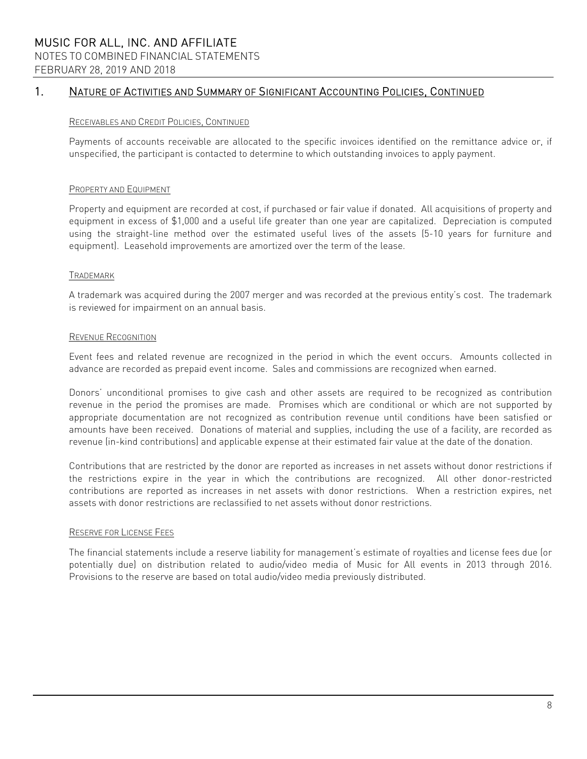### MUSIC FOR ALL, INC. AND AFFILIATE NOTES TO COMBINED FINANCIAL STATEMENTS FEBRUARY 28, 2019 AND 2018

## 1. NATURE OF ACTIVITIES AND SUMMARY OF SIGNIFICANT ACCOUNTING POLICIES, CONTINUED

### RECEIVABLES AND CREDIT POLICIES, CONTINUED

Payments of accounts receivable are allocated to the specific invoices identified on the remittance advice or, if unspecified, the participant is contacted to determine to which outstanding invoices to apply payment.

### PROPERTY AND EQUIPMENT

Property and equipment are recorded at cost, if purchased or fair value if donated. All acquisitions of property and equipment in excess of \$1,000 and a useful life greater than one year are capitalized. Depreciation is computed using the straight-line method over the estimated useful lives of the assets (5-10 years for furniture and equipment). Leasehold improvements are amortized over the term of the lease.

#### TRADEMARK

A trademark was acquired during the 2007 merger and was recorded at the previous entity's cost. The trademark is reviewed for impairment on an annual basis.

#### REVENUE RECOGNITION

Event fees and related revenue are recognized in the period in which the event occurs. Amounts collected in advance are recorded as prepaid event income. Sales and commissions are recognized when earned.

Donors' unconditional promises to give cash and other assets are required to be recognized as contribution revenue in the period the promises are made. Promises which are conditional or which are not supported by appropriate documentation are not recognized as contribution revenue until conditions have been satisfied or amounts have been received. Donations of material and supplies, including the use of a facility, are recorded as revenue (in-kind contributions) and applicable expense at their estimated fair value at the date of the donation.

Contributions that are restricted by the donor are reported as increases in net assets without donor restrictions if the restrictions expire in the year in which the contributions are recognized. All other donor-restricted contributions are reported as increases in net assets with donor restrictions. When a restriction expires, net assets with donor restrictions are reclassified to net assets without donor restrictions.

#### RESERVE FOR LICENSE FEES

The financial statements include a reserve liability for management's estimate of royalties and license fees due (or potentially due) on distribution related to audio/video media of Music for All events in 2013 through 2016. Provisions to the reserve are based on total audio/video media previously distributed.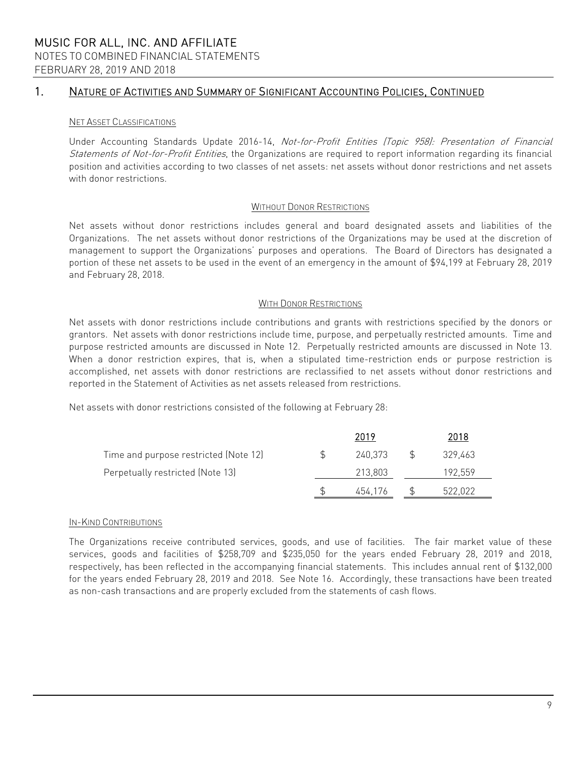### 1. NATURE OF ACTIVITIES AND SUMMARY OF SIGNIFICANT ACCOUNTING POLICIES, CONTINUED

### **NET ASSET CLASSIFICATIONS**

Under Accounting Standards Update 2016-14, Not-for-Profit Entities (Topic 958): Presentation of Financial Statements of Not-for-Profit Entities, the Organizations are required to report information regarding its financial position and activities according to two classes of net assets: net assets without donor restrictions and net assets with donor restrictions.

#### WITHOUT DONOR RESTRICTIONS

Net assets without donor restrictions includes general and board designated assets and liabilities of the Organizations. The net assets without donor restrictions of the Organizations may be used at the discretion of management to support the Organizations' purposes and operations. The Board of Directors has designated a portion of these net assets to be used in the event of an emergency in the amount of \$94,199 at February 28, 2019 and February 28, 2018.

#### WITH DONOR RESTRICTIONS

Net assets with donor restrictions include contributions and grants with restrictions specified by the donors or grantors. Net assets with donor restrictions include time, purpose, and perpetually restricted amounts. Time and purpose restricted amounts are discussed in Note 12. Perpetually restricted amounts are discussed in Note 13. When a donor restriction expires, that is, when a stipulated time-restriction ends or purpose restriction is accomplished, net assets with donor restrictions are reclassified to net assets without donor restrictions and reported in the Statement of Activities as net assets released from restrictions.

Net assets with donor restrictions consisted of the following at February 28:

|                                       | 2019    | 2018    |
|---------------------------------------|---------|---------|
| Time and purpose restricted (Note 12) | 240.373 | 329.463 |
| Perpetually restricted (Note 13)      | 213.803 | 192.559 |
|                                       | 454.176 | 522.022 |

### IN-KIND CONTRIBUTIONS

The Organizations receive contributed services, goods, and use of facilities. The fair market value of these services, goods and facilities of \$258,709 and \$235,050 for the years ended February 28, 2019 and 2018, respectively, has been reflected in the accompanying financial statements. This includes annual rent of \$132,000 for the years ended February 28, 2019 and 2018. See Note 16. Accordingly, these transactions have been treated as non-cash transactions and are properly excluded from the statements of cash flows.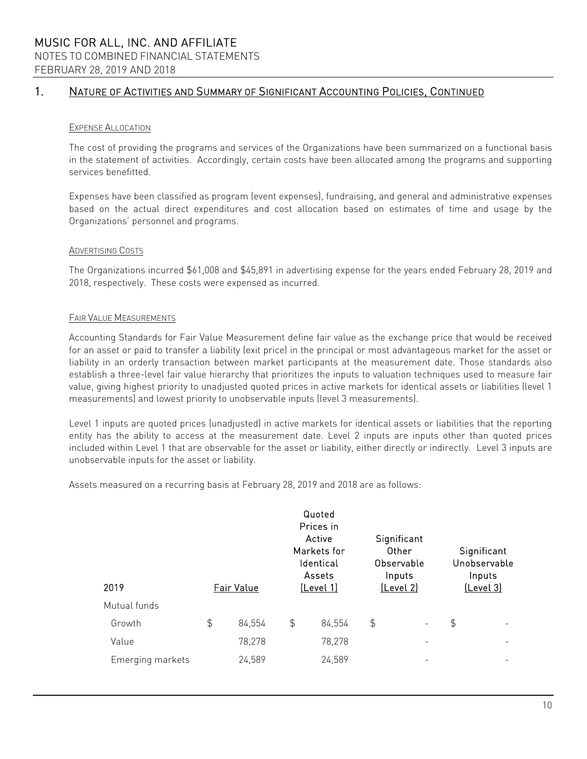## 1. NATURE OF ACTIVITIES AND SUMMARY OF SIGNIFICANT ACCOUNTING POLICIES, CONTINUED

### EXPENSE ALLOCATION

The cost of providing the programs and services of the Organizations have been summarized on a functional basis in the statement of activities. Accordingly, certain costs have been allocated among the programs and supporting services benefitted.

Expenses have been classified as program (event expenses), fundraising, and general and administrative expenses based on the actual direct expenditures and cost allocation based on estimates of time and usage by the Organizations' personnel and programs.

#### ADVERTISING COSTS

The Organizations incurred \$61,008 and \$45,891 in advertising expense for the years ended February 28, 2019 and 2018, respectively. These costs were expensed as incurred.

#### FAIR VALUE MEASUREMENTS

Accounting Standards for Fair Value Measurement define fair value as the exchange price that would be received for an asset or paid to transfer a liability (exit price) in the principal or most advantageous market for the asset or liability in an orderly transaction between market participants at the measurement date. Those standards also establish a three-level fair value hierarchy that prioritizes the inputs to valuation techniques used to measure fair value, giving highest priority to unadjusted quoted prices in active markets for identical assets or liabilities (level 1 measurements) and lowest priority to unobservable inputs (level 3 measurements).

Level 1 inputs are quoted prices (unadjusted) in active markets for identical assets or liabilities that the reporting entity has the ability to access at the measurement date. Level 2 inputs are inputs other than quoted prices included within Level 1 that are observable for the asset or liability, either directly or indirectly. Level 3 inputs are unobservable inputs for the asset or liability.

Assets measured on a recurring basis at February 28, 2019 and 2018 are as follows:

| 2019             | Fair Value    |        |               | Quoted<br>Prices in<br>Active<br>Markets for<br>Identical<br>Assets<br>(Level 1) |    | Significant<br>Other<br>Observable<br>Inputs<br>(Level 2) | Significant<br>Unobservable<br>Inputs<br><u>(Level 3)</u> |  |
|------------------|---------------|--------|---------------|----------------------------------------------------------------------------------|----|-----------------------------------------------------------|-----------------------------------------------------------|--|
| Mutual funds     |               |        |               |                                                                                  |    |                                                           |                                                           |  |
| Growth           | $\frac{1}{2}$ | 84,554 | $\frac{1}{2}$ | 84,554                                                                           | \$ | $\overline{\phantom{a}}$                                  | \$                                                        |  |
| Value            |               | 78,278 |               | 78,278                                                                           |    |                                                           |                                                           |  |
| Emerging markets |               | 24,589 |               | 24,589                                                                           |    |                                                           |                                                           |  |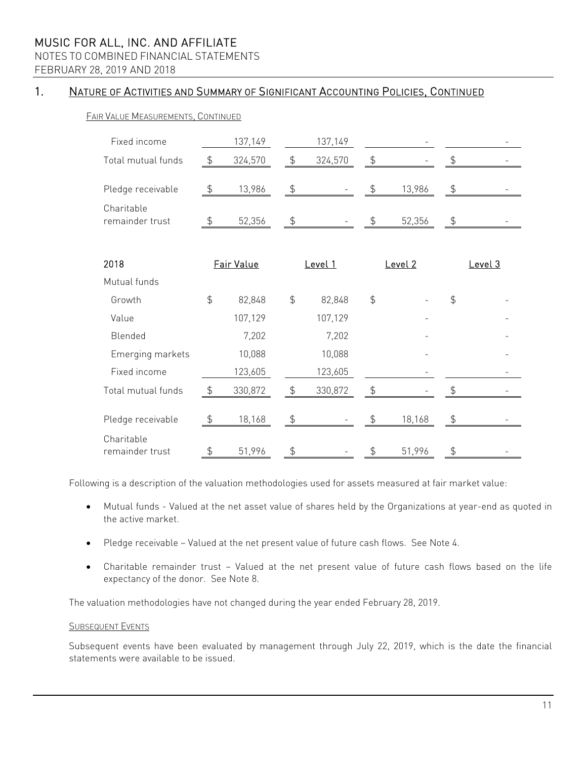### NOTES TO COMBINED FINANCIAL STATEMENTS

FEBRUARY 28, 2019 AND 2018

## 1. NATURE OF ACTIVITIES AND SUMMARY OF SIGNIFICANT ACCOUNTING POLICIES, CONTINUED

### FAIR VALUE MEASUREMENTS, CONTINUED

| Fixed income                  | 137,149 | 137,149 |        |  |
|-------------------------------|---------|---------|--------|--|
| Total mutual funds            | 324,570 | 324,570 |        |  |
| Pledge receivable             | 13,986  | $\sim$  | 13,986 |  |
| Charitable<br>remainder trust | 52,356  | -       | 52,356 |  |

| 2018                          |                | Fair Value |                | Level 1 |    | Level 2 |               | Level 3 |
|-------------------------------|----------------|------------|----------------|---------|----|---------|---------------|---------|
| Mutual funds                  |                |            |                |         |    |         |               |         |
| Growth                        | $\frac{1}{2}$  | 82,848     | $\frac{4}{5}$  | 82,848  | \$ |         | $\frac{1}{2}$ |         |
| Value                         |                | 107,129    |                | 107,129 |    |         |               |         |
| Blended                       |                | 7,202      |                | 7,202   |    |         |               |         |
| Emerging markets              |                | 10,088     |                | 10,088  |    |         |               |         |
| Fixed income                  |                | 123,605    |                | 123,605 |    |         |               |         |
| Total mutual funds            | $\mathcal{L}$  | 330,872    | $\mathcal{L}$  | 330,872 | ፍ  |         |               |         |
| Pledge receivable             | $\mathfrak{L}$ | 18,168     | $\updownarrow$ |         | \$ | 18,168  | \$            |         |
| Charitable<br>remainder trust | \$             | 51,996     | \$             |         | \$ | 51,996  | S             |         |

Following is a description of the valuation methodologies used for assets measured at fair market value:

- Mutual funds Valued at the net asset value of shares held by the Organizations at year-end as quoted in the active market.
- Pledge receivable Valued at the net present value of future cash flows. See Note 4.
- Charitable remainder trust Valued at the net present value of future cash flows based on the life expectancy of the donor. See Note 8.

The valuation methodologies have not changed during the year ended February 28, 2019.

#### **SUBSEQUENT EVENTS**

Subsequent events have been evaluated by management through July 22, 2019, which is the date the financial statements were available to be issued.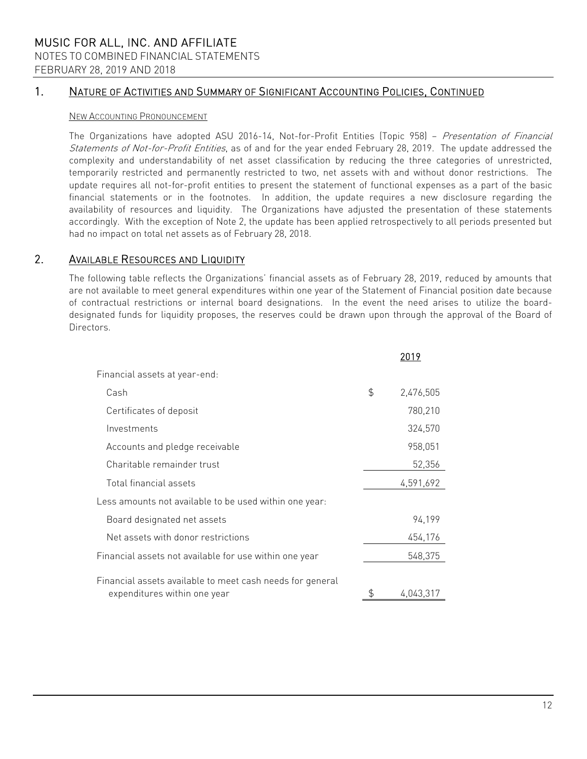### MUSIC FOR ALL, INC. AND AFFILIATE NOTES TO COMBINED FINANCIAL STATEMENTS FEBRUARY 28, 2019 AND 2018

## 1. NATURE OF ACTIVITIES AND SUMMARY OF SIGNIFICANT ACCOUNTING POLICIES, CONTINUED

### NEW ACCOUNTING PRONOUNCEMENT

The Organizations have adopted ASU 2016-14, Not-for-Profit Entities (Topic 958) - Presentation of Financial Statements of Not-for-Profit Entities, as of and for the year ended February 28, 2019. The update addressed the complexity and understandability of net asset classification by reducing the three categories of unrestricted, temporarily restricted and permanently restricted to two, net assets with and without donor restrictions. The update requires all not-for-profit entities to present the statement of functional expenses as a part of the basic financial statements or in the footnotes. In addition, the update requires a new disclosure regarding the availability of resources and liquidity. The Organizations have adjusted the presentation of these statements accordingly. With the exception of Note 2, the update has been applied retrospectively to all periods presented but had no impact on total net assets as of February 28, 2018.

### 2. AVAILABLE RESOURCES AND LIQUIDITY

The following table reflects the Organizations' financial assets as of February 28, 2019, reduced by amounts that are not available to meet general expenditures within one year of the Statement of Financial position date because of contractual restrictions or internal board designations. In the event the need arises to utilize the boarddesignated funds for liquidity proposes, the reserves could be drawn upon through the approval of the Board of Directors.

|                                                           | 2019            |
|-----------------------------------------------------------|-----------------|
| Financial assets at year-end:                             |                 |
| Cash                                                      | \$<br>2,476,505 |
| Certificates of deposit                                   | 780,210         |
| Investments                                               | 324,570         |
| Accounts and pledge receivable                            | 958,051         |
| Charitable remainder trust                                | 52,356          |
| Total financial assets                                    | 4,591,692       |
| Less amounts not available to be used within one year:    |                 |
| Board designated net assets                               | 94,199          |
| Net assets with donor restrictions                        | 454,176         |
| Financial assets not available for use within one year    | 548,375         |
| Financial assets available to meet cash needs for general |                 |
| expenditures within one year                              | 4,043,317       |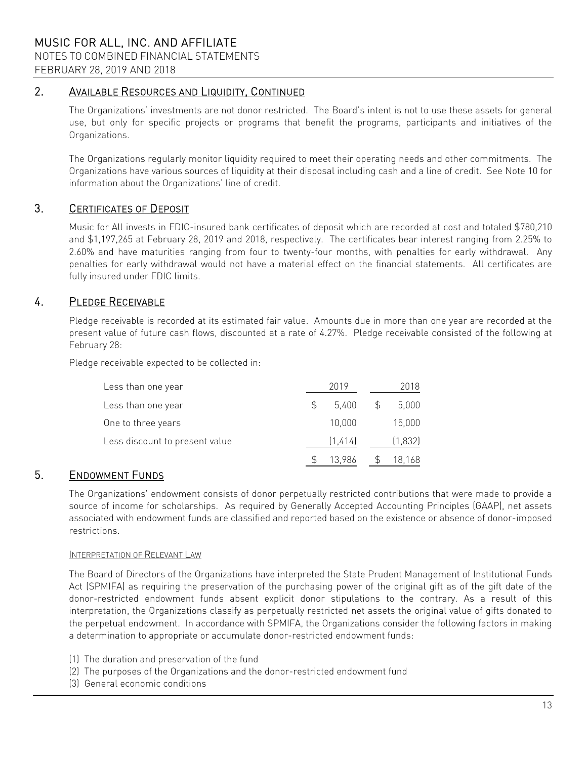### 2. AVAILABLE RESOURCES AND LIQUIDITY, CONTINUED

The Organizations' investments are not donor restricted. The Board's intent is not to use these assets for general use, but only for specific projects or programs that benefit the programs, participants and initiatives of the Organizations.

The Organizations regularly monitor liquidity required to meet their operating needs and other commitments. The Organizations have various sources of liquidity at their disposal including cash and a line of credit. See Note 10 for information about the Organizations' line of credit.

### 3. CERTIFICATES OF DEPOSIT

Music for All invests in FDIC-insured bank certificates of deposit which are recorded at cost and totaled \$780,210 and \$1,197,265 at February 28, 2019 and 2018, respectively. The certificates bear interest ranging from 2.25% to 2.60% and have maturities ranging from four to twenty-four months, with penalties for early withdrawal. Any penalties for early withdrawal would not have a material effect on the financial statements. All certificates are fully insured under FDIC limits.

### 4. PLEDGE RECEIVABLE

Pledge receivable is recorded at its estimated fair value. Amounts due in more than one year are recorded at the present value of future cash flows, discounted at a rate of 4.27%. Pledge receivable consisted of the following at February 28:

Pledge receivable expected to be collected in:

| Less than one year             |    | 2019    | 2018    |
|--------------------------------|----|---------|---------|
| Less than one year             | £. | 5.400   | 5,000   |
| One to three years             |    | 10,000  | 15,000  |
| Less discount to present value |    | (1,414) | (1,832) |
|                                |    | 13.986  | 18.168  |

### 5. ENDOWMENT FUNDS

The Organizations' endowment consists of donor perpetually restricted contributions that were made to provide a source of income for scholarships. As required by Generally Accepted Accounting Principles (GAAP), net assets associated with endowment funds are classified and reported based on the existence or absence of donor-imposed restrictions.

### INTERPRETATION OF RELEVANT LAW

The Board of Directors of the Organizations have interpreted the State Prudent Management of Institutional Funds Act (SPMIFA) as requiring the preservation of the purchasing power of the original gift as of the gift date of the donor-restricted endowment funds absent explicit donor stipulations to the contrary. As a result of this interpretation, the Organizations classify as perpetually restricted net assets the original value of gifts donated to the perpetual endowment. In accordance with SPMIFA, the Organizations consider the following factors in making a determination to appropriate or accumulate donor-restricted endowment funds:

- (1) The duration and preservation of the fund
- (2) The purposes of the Organizations and the donor-restricted endowment fund
- (3) General economic conditions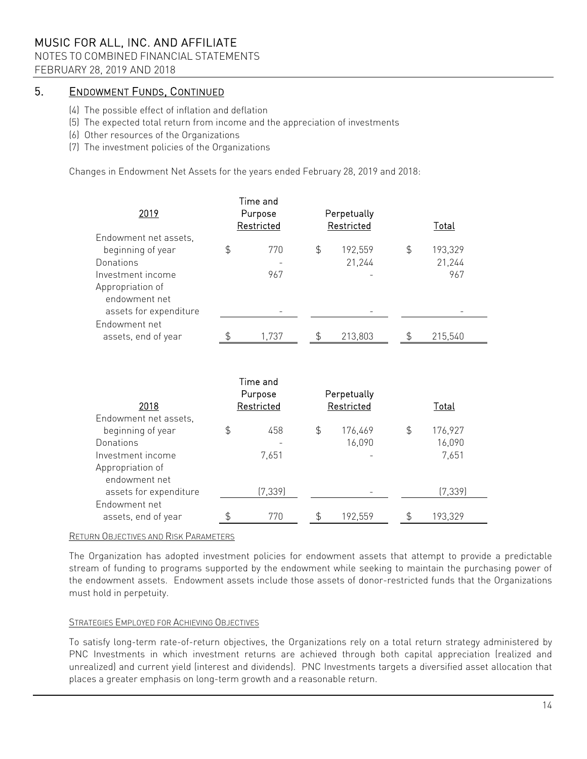## NOTES TO COMBINED FINANCIAL STATEMENTS

FEBRUARY 28, 2019 AND 2018

## 5. ENDOWMENT FUNDS, CONTINUED

- (4) The possible effect of inflation and deflation
- (5) The expected total return from income and the appreciation of investments
- (6) Other resources of the Organizations
- (7) The investment policies of the Organizations

Changes in Endowment Net Assets for the years ended February 28, 2019 and 2018:

| 2019                   | Time and<br>Purpose<br>Restricted | Perpetually<br>Restricted | Total         |  |
|------------------------|-----------------------------------|---------------------------|---------------|--|
| Endowment net assets,  |                                   |                           |               |  |
| beginning of year      | \$<br>770                         | \$<br>192,559             | \$<br>193,329 |  |
| Donations              |                                   | 21,244                    | 21,244        |  |
| Investment income      | 967                               |                           | 967           |  |
| Appropriation of       |                                   |                           |               |  |
| endowment net          |                                   |                           |               |  |
| assets for expenditure |                                   |                           |               |  |
| Endowment net          |                                   |                           |               |  |
| assets, end of year    | 1,737                             | 213,803                   | 215,540       |  |

| 2018<br>Endowment net assets,                               |    | Time and<br>Purpose<br>Restricted | Perpetually<br>Restricted | Total         |  |
|-------------------------------------------------------------|----|-----------------------------------|---------------------------|---------------|--|
| beginning of year                                           | \$ | 458                               | \$<br>176,469             | \$<br>176,927 |  |
| Donations                                                   |    |                                   | 16,090                    | 16,090        |  |
| Investment income                                           |    | 7,651                             |                           | 7,651         |  |
| Appropriation of<br>endowment net<br>assets for expenditure |    | (7, 339)                          |                           | (7, 339)      |  |
|                                                             |    |                                   |                           |               |  |
| Endowment net<br>assets, end of year                        | ፍ  | 770                               | 192,559                   | \$<br>193,329 |  |

### RETURN OBJECTIVES AND RISK PARAMETERS

The Organization has adopted investment policies for endowment assets that attempt to provide a predictable stream of funding to programs supported by the endowment while seeking to maintain the purchasing power of the endowment assets. Endowment assets include those assets of donor-restricted funds that the Organizations must hold in perpetuity.

### STRATEGIES EMPLOYED FOR ACHIEVING OBJECTIVES

To satisfy long-term rate-of-return objectives, the Organizations rely on a total return strategy administered by PNC Investments in which investment returns are achieved through both capital appreciation (realized and unrealized) and current yield (interest and dividends). PNC Investments targets a diversified asset allocation that places a greater emphasis on long-term growth and a reasonable return.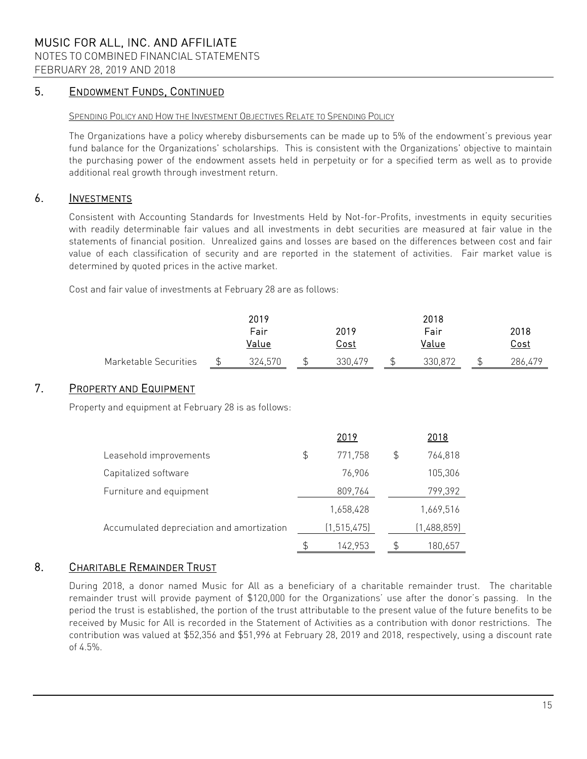FEBRUARY 28, 2019 AND 2018

### 5. ENDOWMENT FUNDS, CONTINUED

#### SPENDING POLICY AND HOW THE INVESTMENT OBJECTIVES RELATE TO SPENDING POLICY

The Organizations have a policy whereby disbursements can be made up to 5% of the endowment's previous year fund balance for the Organizations' scholarships. This is consistent with the Organizations' objective to maintain the purchasing power of the endowment assets held in perpetuity or for a specified term as well as to provide additional real growth through investment return.

### 6. INVESTMENTS

Consistent with Accounting Standards for Investments Held by Not-for-Profits, investments in equity securities with readily determinable fair values and all investments in debt securities are measured at fair value in the statements of financial position. Unrealized gains and losses are based on the differences between cost and fair value of each classification of security and are reported in the statement of activities. Fair market value is determined by quoted prices in the active market.

Cost and fair value of investments at February 28 are as follows:

|                       | 2019    |  |         | 2018    |  |         |  |
|-----------------------|---------|--|---------|---------|--|---------|--|
|                       | Fair    |  | 2019    | Fair    |  | 2018    |  |
|                       | Value   |  | Cost    | Value   |  | Cost    |  |
| Marketable Securities | 324,570 |  | 330,479 | 330,872 |  | 286,479 |  |

### 7. PROPERTY AND EQUIPMENT

Property and equipment at February 28 is as follows:

|                                           | 2019          | 2018          |
|-------------------------------------------|---------------|---------------|
| Leasehold improvements                    | \$<br>771,758 | \$<br>764,818 |
| Capitalized software                      | 76,906        | 105,306       |
| Furniture and equipment                   | 809,764       | 799,392       |
|                                           | 1,658,428     | 1,669,516     |
| Accumulated depreciation and amortization | (1, 515, 475) | (1,488,859)   |
|                                           | \$<br>142.953 | \$<br>180,657 |

### 8. CHARITABLE REMAINDER TRUST

During 2018, a donor named Music for All as a beneficiary of a charitable remainder trust. The charitable remainder trust will provide payment of \$120,000 for the Organizations' use after the donor's passing. In the period the trust is established, the portion of the trust attributable to the present value of the future benefits to be received by Music for All is recorded in the Statement of Activities as a contribution with donor restrictions. The contribution was valued at \$52,356 and \$51,996 at February 28, 2019 and 2018, respectively, using a discount rate of 4.5%.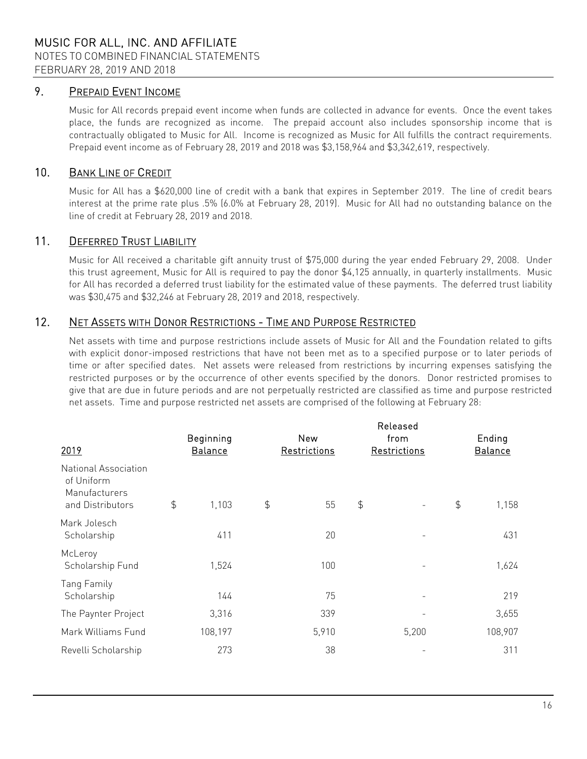### 9. PREPAID EVENT INCOME

Music for All records prepaid event income when funds are collected in advance for events. Once the event takes place, the funds are recognized as income. The prepaid account also includes sponsorship income that is contractually obligated to Music for All. Income is recognized as Music for All fulfills the contract requirements. Prepaid event income as of February 28, 2019 and 2018 was \$3,158,964 and \$3,342,619, respectively.

### 10. BANK LINE OF CREDIT

Music for All has a \$620,000 line of credit with a bank that expires in September 2019. The line of credit bears interest at the prime rate plus .5% (6.0% at February 28, 2019). Music for All had no outstanding balance on the line of credit at February 28, 2019 and 2018.

### 11. DEFERRED TRUST LIABILITY

Music for All received a charitable gift annuity trust of \$75,000 during the year ended February 29, 2008. Under this trust agreement, Music for All is required to pay the donor \$4,125 annually, in quarterly installments. Music for All has recorded a deferred trust liability for the estimated value of these payments. The deferred trust liability was \$30,475 and \$32,246 at February 28, 2019 and 2018, respectively.

### 12. NET ASSETS WITH DONOR RESTRICTIONS - TIME AND PURPOSE RESTRICTED

Net assets with time and purpose restrictions include assets of Music for All and the Foundation related to gifts with explicit donor-imposed restrictions that have not been met as to a specified purpose or to later periods of time or after specified dates. Net assets were released from restrictions by incurring expenses satisfying the restricted purposes or by the occurrence of other events specified by the donors. Donor restricted promises to give that are due in future periods and are not perpetually restricted are classified as time and purpose restricted net assets. Time and purpose restricted net assets are comprised of the following at February 28:

| 2019                                                                           | Beginning<br>Balance |         |                | <b>New</b><br>Restrictions |                | Released<br>from<br>Restrictions |               | Ending<br><b>Balance</b> |  |
|--------------------------------------------------------------------------------|----------------------|---------|----------------|----------------------------|----------------|----------------------------------|---------------|--------------------------|--|
| <b>National Association</b><br>of Uniform<br>Manufacturers<br>and Distributors | \$                   | 1,103   | $\updownarrow$ | 55                         | $\updownarrow$ | $\overline{\phantom{a}}$         | $\frac{4}{5}$ | 1,158                    |  |
| Mark Jolesch<br>Scholarship                                                    |                      | 411     |                | 20                         |                |                                  |               | 431                      |  |
| McLeroy<br>Scholarship Fund                                                    |                      | 1,524   |                | 100                        |                |                                  |               | 1,624                    |  |
| <b>Tang Family</b><br>Scholarship                                              |                      | 144     |                | 75                         |                |                                  |               | 219                      |  |
| The Paynter Project                                                            |                      | 3,316   |                | 339                        |                | $\overline{\phantom{m}}$         |               | 3,655                    |  |
| Mark Williams Fund                                                             |                      | 108,197 |                | 5,910                      |                | 5,200                            |               | 108,907                  |  |
| Revelli Scholarship                                                            |                      | 273     |                | 38                         |                |                                  |               | 311                      |  |
|                                                                                |                      |         |                |                            |                |                                  |               |                          |  |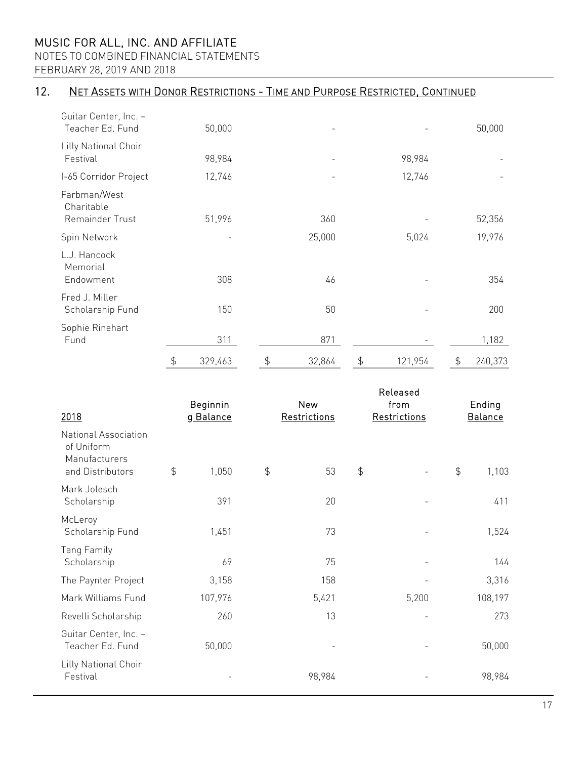NOTES TO COMBINED FINANCIAL STATEMENTS

FEBRUARY 28, 2019 AND 2018

## 12. NET ASSETS WITH DONOR RESTRICTIONS - TIME AND PURPOSE RESTRICTED, CONTINUED

| Guitar Center, Inc. -<br>Teacher Ed. Fund     | 50,000        |              |                           | 50,000        |
|-----------------------------------------------|---------------|--------------|---------------------------|---------------|
| Lilly National Choir<br>Festival              | 98,984        |              | 98,984                    |               |
| I-65 Corridor Project                         | 12,746        |              | 12,746                    |               |
| Farbman/West<br>Charitable<br>Remainder Trust | 51,996        | 360          |                           | 52,356        |
| Spin Network                                  | -             | 25,000       | 5,024                     | 19,976        |
| L.J. Hancock<br>Memorial<br>Endowment         | 308           | 46           |                           | 354           |
| Fred J. Miller<br>Scholarship Fund            | 150           | 50           |                           | 200           |
| Sophie Rinehart<br>Fund                       | 311           | 871          |                           | 1,182         |
|                                               | \$<br>329,463 | \$<br>32,864 | $\updownarrow$<br>121,954 | \$<br>240,373 |

| 2018                                                                    |               | Beginnin<br>g Balance | <b>New</b><br>Restrictions |        | Released<br>from<br>Restrictions |       | Ending<br><b>Balance</b> |         |
|-------------------------------------------------------------------------|---------------|-----------------------|----------------------------|--------|----------------------------------|-------|--------------------------|---------|
| National Association<br>of Uniform<br>Manufacturers<br>and Distributors | $\frac{1}{2}$ | 1,050                 | $\frac{1}{2}$              | 53     | \$                               |       | $\frac{1}{2}$            | 1,103   |
| Mark Jolesch<br>Scholarship                                             |               | 391                   |                            | 20     |                                  |       |                          | 411     |
| McLeroy<br>Scholarship Fund                                             |               | 1,451                 |                            | 73     |                                  |       |                          | 1,524   |
| <b>Tang Family</b><br>Scholarship                                       |               | 69                    |                            | 75     |                                  |       |                          | 144     |
| The Paynter Project                                                     |               | 3,158                 |                            | 158    |                                  |       |                          | 3,316   |
| Mark Williams Fund                                                      |               | 107,976               |                            | 5,421  |                                  | 5,200 |                          | 108,197 |
| Revelli Scholarship                                                     |               | 260                   |                            | 13     |                                  |       |                          | 273     |
| Guitar Center, Inc. -<br>Teacher Ed. Fund                               |               | 50,000                |                            |        |                                  |       |                          | 50,000  |
| Lilly National Choir<br>Festival                                        |               |                       |                            | 98,984 |                                  |       |                          | 98,984  |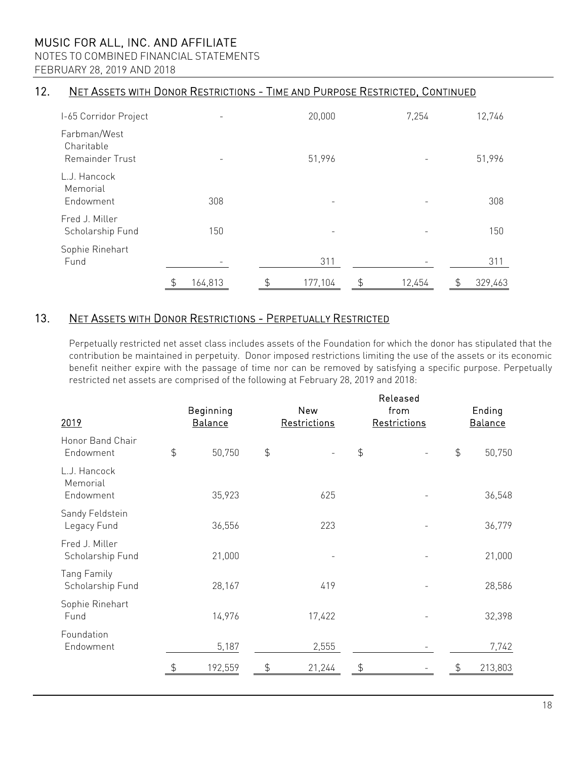## NOTES TO COMBINED FINANCIAL STATEMENTS

FEBRUARY 28, 2019 AND 2018

## 12. NET ASSETS WITH DONOR RESTRICTIONS - TIME AND PURPOSE RESTRICTED, CONTINUED

| I-65 Corridor Project                         |               | 20,000                   | 7,254        | 12,746        |
|-----------------------------------------------|---------------|--------------------------|--------------|---------------|
| Farbman/West<br>Charitable<br>Remainder Trust |               | 51,996                   |              | 51,996        |
| L.J. Hancock<br>Memorial<br>Endowment         | 308           | -                        |              | 308           |
| Fred J. Miller<br>Scholarship Fund            | 150           | $\overline{\phantom{a}}$ |              | 150           |
| Sophie Rinehart<br>Fund                       |               | 311                      |              | 311           |
|                                               | 164,813<br>\$ | \$<br>177,104            | \$<br>12,454 | \$<br>329,463 |

## 13. NET ASSETS WITH DONOR RESTRICTIONS - PERPETUALLY RESTRICTED

Perpetually restricted net asset class includes assets of the Foundation for which the donor has stipulated that the contribution be maintained in perpetuity. Donor imposed restrictions limiting the use of the assets or its economic benefit neither expire with the passage of time nor can be removed by satisfying a specific purpose. Perpetually restricted net assets are comprised of the following at February 28, 2019 and 2018:

| 2019                                  |                | Beginning<br><b>Balance</b> |                | New<br>Restrictions |               | Released<br>from<br>Restrictions |               | Ending<br><b>Balance</b> |
|---------------------------------------|----------------|-----------------------------|----------------|---------------------|---------------|----------------------------------|---------------|--------------------------|
| Honor Band Chair<br>Endowment         | \$             | 50,750                      | $\updownarrow$ |                     | \$            |                                  | $\frac{1}{2}$ | 50,750                   |
| L.J. Hancock<br>Memorial<br>Endowment |                | 35,923                      |                | 625                 |               |                                  |               | 36,548                   |
| Sandy Feldstein<br>Legacy Fund        |                | 36,556                      |                | 223                 |               |                                  |               | 36,779                   |
| Fred J. Miller<br>Scholarship Fund    |                | 21,000                      |                |                     |               |                                  |               | 21,000                   |
| Tang Family<br>Scholarship Fund       |                | 28,167                      |                | 419                 |               |                                  |               | 28,586                   |
| Sophie Rinehart<br>Fund               |                | 14,976                      |                | 17,422              |               |                                  |               | 32,398                   |
| Foundation<br>Endowment               |                | 5,187                       |                | 2,555               |               |                                  |               | 7,742                    |
|                                       | $\mathfrak{L}$ | 192,559                     | \$             | 21,244              | $\frac{1}{2}$ |                                  | \$            | 213,803                  |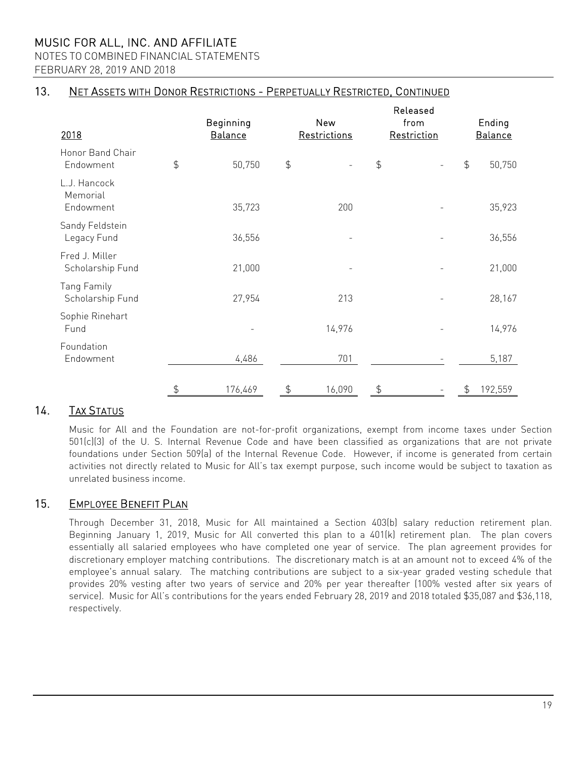NOTES TO COMBINED FINANCIAL STATEMENTS

FEBRUARY 28, 2019 AND 2018

### 13. NET ASSETS WITH DONOR RESTRICTIONS - PERPETUALLY RESTRICTED, CONTINUED

| 2018                                  | Beginning<br><b>Balance</b> | <b>New</b><br>Restrictions     |                | Released<br>from<br>Restriction |               | Ending<br><b>Balance</b> |
|---------------------------------------|-----------------------------|--------------------------------|----------------|---------------------------------|---------------|--------------------------|
| Honor Band Chair<br>Endowment         | \$<br>50,750                | \$<br>$\overline{\phantom{a}}$ | $\updownarrow$ |                                 | $\frac{1}{2}$ | 50,750                   |
| L.J. Hancock<br>Memorial<br>Endowment | 35,723                      | 200                            |                |                                 |               | 35,923                   |
| Sandy Feldstein<br>Legacy Fund        | 36,556                      |                                |                |                                 |               | 36,556                   |
| Fred J. Miller<br>Scholarship Fund    | 21,000                      |                                |                |                                 |               | 21,000                   |
| Tang Family<br>Scholarship Fund       | 27,954                      | 213                            |                |                                 |               | 28,167                   |
| Sophie Rinehart<br>Fund               |                             | 14,976                         |                |                                 |               | 14,976                   |
| Foundation<br>Endowment               | 4,486                       | 701                            |                |                                 |               | 5,187                    |
|                                       | \$<br>176,469               | \$<br>16,090                   | \$             |                                 | \$            | 192,559                  |

### 14. TAX STATUS

Music for All and the Foundation are not-for-profit organizations, exempt from income taxes under Section 501(c)(3) of the U. S. Internal Revenue Code and have been classified as organizations that are not private foundations under Section 509(a) of the Internal Revenue Code. However, if income is generated from certain activities not directly related to Music for All's tax exempt purpose, such income would be subject to taxation as unrelated business income.

### 15. EMPLOYEE BENEFIT PLAN

Through December 31, 2018, Music for All maintained a Section 403(b) salary reduction retirement plan. Beginning January 1, 2019, Music for All converted this plan to a 401(k) retirement plan. The plan covers essentially all salaried employees who have completed one year of service. The plan agreement provides for discretionary employer matching contributions. The discretionary match is at an amount not to exceed 4% of the employee's annual salary. The matching contributions are subject to a six-year graded vesting schedule that provides 20% vesting after two years of service and 20% per year thereafter (100% vested after six years of service). Music for All's contributions for the years ended February 28, 2019 and 2018 totaled \$35,087 and \$36,118, respectively.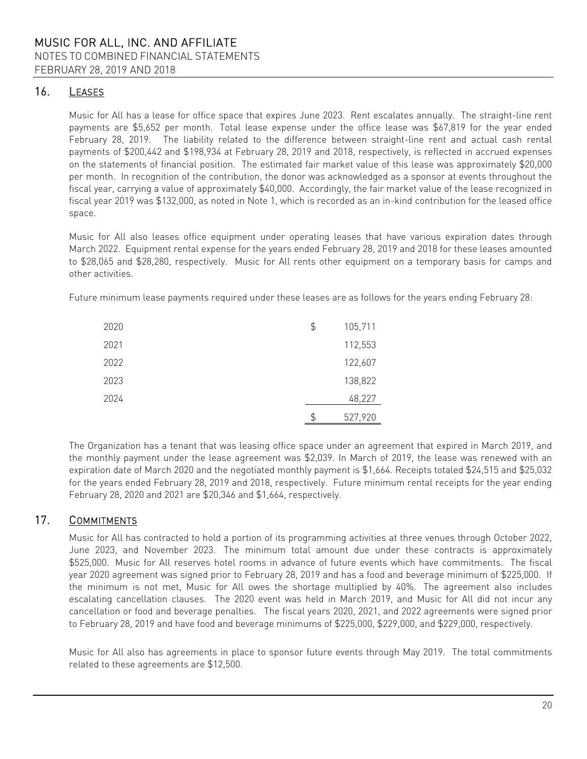FEBRUARY 28, 2019 AND 2018

## 16. LEASES

Music for All has a lease for office space that expires June 2023. Rent escalates annually. The straight-line rent payments are \$5,652 per month. Total lease expense under the office lease was \$67,819 for the year ended February 28, 2019. The liability related to the difference between straight-line rent and actual cash rental payments of \$200,442 and \$198,934 at February 28, 2019 and 2018, respectively, is reflected in accrued expenses on the statements of financial position. The estimated fair market value of this lease was approximately \$20,000 per month. In recognition of the contribution, the donor was acknowledged as a sponsor at events throughout the fiscal year, carrying a value of approximately \$40,000. Accordingly, the fair market value of the lease recognized in fiscal year 2019 was \$132,000, as noted in Note 1, which is recorded as an in-kind contribution for the leased office space.

Music for All also leases office equipment under operating leases that have various expiration dates through March 2022. Equipment rental expense for the years ended February 28, 2019 and 2018 for these leases amounted to \$28,065 and \$28,280, respectively. Music for All rents other equipment on a temporary basis for camps and other activities.

Future minimum lease payments required under these leases are as follows for the years ending February 28:

| 2020 | \$ | 105,711 |
|------|----|---------|
| 2021 |    | 112,553 |
| 2022 |    | 122,607 |
| 2023 |    | 138,822 |
| 2024 |    | 48,227  |
|      | S  | 527,920 |

The Organization has a tenant that was leasing office space under an agreement that expired in March 2019, and the monthly payment under the lease agreement was \$2,039. In March of 2019, the lease was renewed with an expiration date of March 2020 and the negotiated monthly payment is \$1,664. Receipts totaled \$24,515 and \$25,032 for the years ended February 28, 2019 and 2018, respectively. Future minimum rental receipts for the year ending February 28, 2020 and 2021 are \$20,346 and \$1,664, respectively.

### 17. COMMITMENTS

Music for All has contracted to hold a portion of its programming activities at three venues through October 2022, June 2023, and November 2023. The minimum total amount due under these contracts is approximately \$525,000. Music for All reserves hotel rooms in advance of future events which have commitments. The fiscal year 2020 agreement was signed prior to February 28, 2019 and has a food and beverage minimum of \$225,000. If the minimum is not met, Music for All owes the shortage multiplied by 40%. The agreement also includes escalating cancellation clauses. The 2020 event was held in March 2019, and Music for All did not incur any cancellation or food and beverage penalties. The fiscal years 2020, 2021, and 2022 agreements were signed prior to February 28, 2019 and have food and beverage minimums of \$225,000, \$229,000, and \$229,000, respectively.

Music for All also has agreements in place to sponsor future events through May 2019. The total commitments related to these agreements are \$12,500.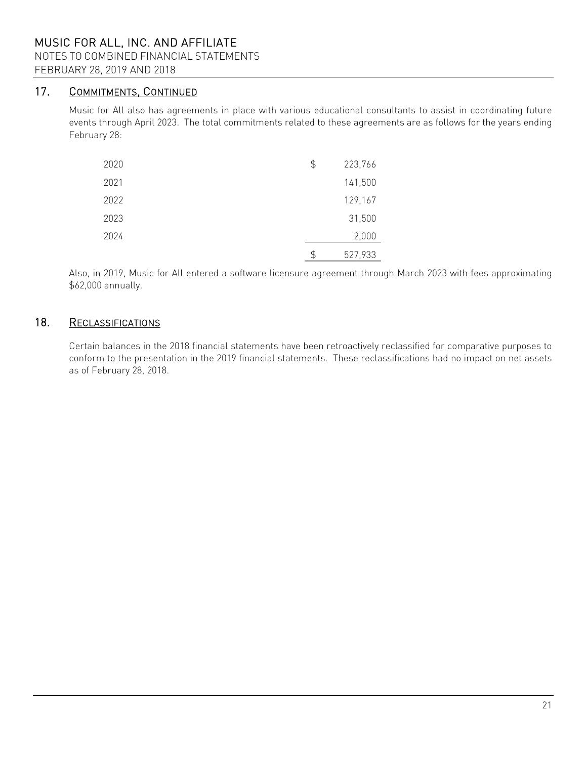### NOTES TO COMBINED FINANCIAL STATEMENTS

FEBRUARY 28, 2019 AND 2018

## 17. COMMITMENTS, CONTINUED

Music for All also has agreements in place with various educational consultants to assist in coordinating future events through April 2023. The total commitments related to these agreements are as follows for the years ending February 28:

| 2020 | \$<br>223,766 |
|------|---------------|
| 2021 | 141,500       |
| 2022 | 129,167       |
| 2023 | 31,500        |
| 2024 | 2,000         |
|      | \$<br>527,933 |

Also, in 2019, Music for All entered a software licensure agreement through March 2023 with fees approximating \$62,000 annually.

### 18. RECLASSIFICATIONS

Certain balances in the 2018 financial statements have been retroactively reclassified for comparative purposes to conform to the presentation in the 2019 financial statements. These reclassifications had no impact on net assets as of February 28, 2018.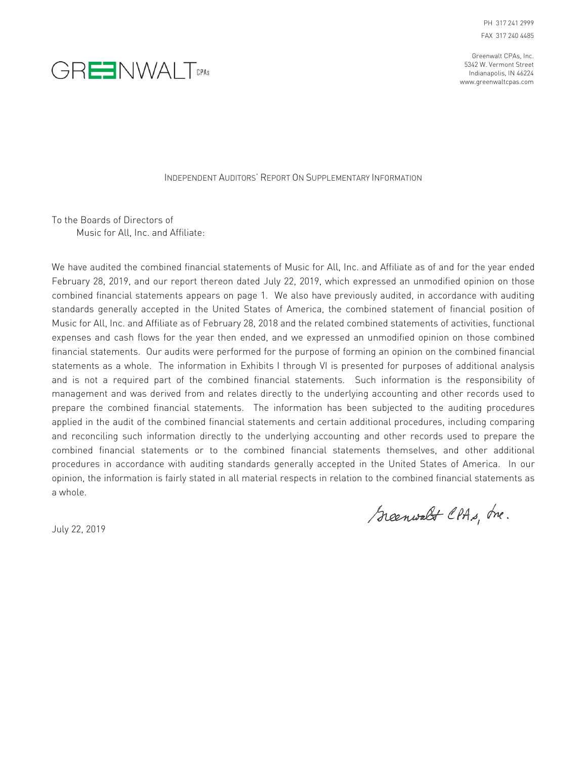PH 317 241 2999 FAX 317 240 4485

Greenwalt CPAs, Inc. 5342 W. Vermont Street Indianapolis, IN 46224 www.greenwaltcpas.com



#### INDEPENDENT AUDITORS' REPORT ON SUPPLEMENTARY INFORMATION

To the Boards of Directors of Music for All, Inc. and Affiliate:

We have audited the combined financial statements of Music for All, Inc. and Affiliate as of and for the year ended February 28, 2019, and our report thereon dated July 22, 2019, which expressed an unmodified opinion on those combined financial statements appears on page 1. We also have previously audited, in accordance with auditing standards generally accepted in the United States of America, the combined statement of financial position of Music for All, Inc. and Affiliate as of February 28, 2018 and the related combined statements of activities, functional expenses and cash flows for the year then ended, and we expressed an unmodified opinion on those combined financial statements. Our audits were performed for the purpose of forming an opinion on the combined financial statements as a whole. The information in Exhibits I through VI is presented for purposes of additional analysis and is not a required part of the combined financial statements. Such information is the responsibility of management and was derived from and relates directly to the underlying accounting and other records used to prepare the combined financial statements. The information has been subjected to the auditing procedures applied in the audit of the combined financial statements and certain additional procedures, including comparing and reconciling such information directly to the underlying accounting and other records used to prepare the combined financial statements or to the combined financial statements themselves, and other additional procedures in accordance with auditing standards generally accepted in the United States of America. In our opinion, the information is fairly stated in all material respects in relation to the combined financial statements as a whole.

Greenwalt CPAs, Ine.

July 22, 2019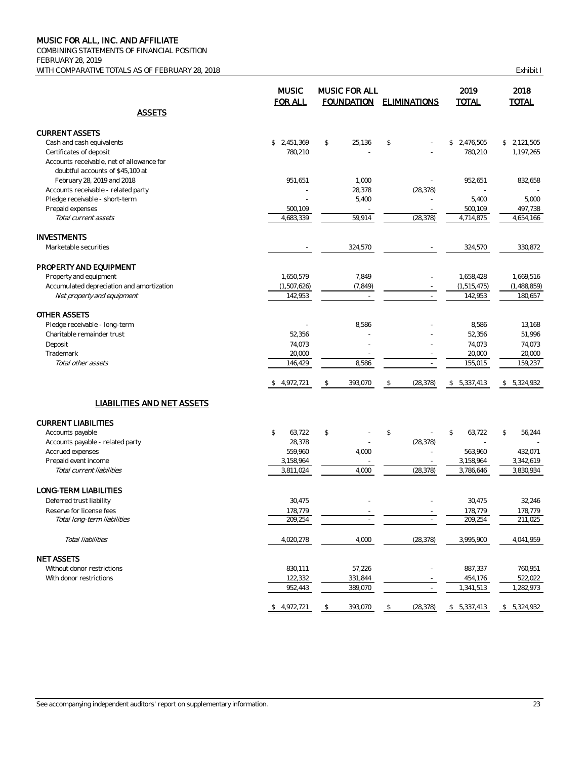COMBINING STATEMENTS OF FINANCIAL POSITION FEBRUARY 28, 2019 WITH COMPARATIVE TOTALS AS OF FEBRUARY 28, 2018 COMPARATIVE THE SERIES OF SERIES AND SEX EXHIBIT I

|                                                   | <b>MUSIC</b><br>MUSIC FOR ALL<br><b>FOR ALL</b><br>FOUNDATION ELIMINATIONS |              |          |                         | 2019<br><b>TOTAL</b>     | 2018<br><b>TOTAL</b>   |                        |
|---------------------------------------------------|----------------------------------------------------------------------------|--------------|----------|-------------------------|--------------------------|------------------------|------------------------|
| <b>ASSETS</b>                                     |                                                                            |              |          |                         |                          |                        |                        |
| <b>CURRENT ASSETS</b>                             |                                                                            |              |          |                         |                          |                        |                        |
| Cash and cash equivalents                         | \$2,451,369                                                                | $\mathbb{S}$ | 25,136   | \$                      |                          | \$2,476,505            | \$2,121,505            |
| Certificates of deposit                           | 780,210                                                                    |              |          |                         |                          | 780,210                | 1,197,265              |
| Accounts receivable, net of allowance for         |                                                                            |              |          |                         |                          |                        |                        |
| doubtful accounts of \$45,100 at                  |                                                                            |              |          |                         |                          |                        |                        |
| February 28, 2019 and 2018                        | 951,651                                                                    |              | 1,000    |                         |                          | 952,651                | 832,658                |
| Accounts receivable - related party               |                                                                            |              | 28,378   |                         | (28, 378)                |                        |                        |
| Pledge receivable - short-term                    |                                                                            |              | 5,400    |                         | ÷,                       | 5,400                  | 5,000<br>497,738       |
| Prepaid expenses<br>Total current assets          | 500,109<br>4,683,339                                                       |              | 59,914   |                         | (28, 378)                | 500,109<br>4,714,875   | 4,654,166              |
|                                                   |                                                                            |              |          |                         |                          |                        |                        |
| <b>INVESTMENTS</b>                                |                                                                            |              |          |                         |                          |                        |                        |
| Marketable securities                             |                                                                            |              | 324,570  |                         |                          | 324,570                | 330,872                |
| PROPERTY AND EQUIPMENT                            |                                                                            |              |          |                         |                          |                        |                        |
| Property and equipment                            | 1,650,579                                                                  |              | 7,849    |                         |                          | 1,658,428              | 1,669,516              |
| Accumulated depreciation and amortization         | (1,507,626)                                                                |              | (7, 849) |                         | $\overline{\phantom{a}}$ | (1, 515, 475)          | (1,488,859)            |
| Net property and equipment                        | 142,953                                                                    |              | $\sim$   |                         | $\sim$                   | 142,953                | 180,657                |
| <b>OTHER ASSETS</b>                               |                                                                            |              |          |                         |                          |                        |                        |
| Pledge receivable - long-term                     |                                                                            |              | 8,586    |                         |                          | 8,586                  | 13,168                 |
| Charitable remainder trust                        | 52,356                                                                     |              |          |                         |                          | 52,356                 | 51,996                 |
| Deposit                                           | 74,073                                                                     |              |          |                         |                          | 74,073                 | 74,073                 |
| Trademark                                         | 20,000                                                                     |              |          |                         |                          | 20,000                 | 20,000                 |
| Total other assets                                | 146,429                                                                    |              | 8,586    |                         |                          | 155,015                | 159,237                |
|                                                   | \$4,972,721                                                                | \$           | 393,070  | $\sqrt[6]{\frac{1}{2}}$ | (28, 378)                | 5,337,413<br>\$        | 5,324,932<br>\$        |
|                                                   |                                                                            |              |          |                         |                          |                        |                        |
| <b>LIABILITIES AND NET ASSETS</b>                 |                                                                            |              |          |                         |                          |                        |                        |
| <b>CURRENT LIABILITIES</b>                        |                                                                            |              |          |                         |                          |                        |                        |
| Accounts payable                                  | 63,722<br>\$                                                               | \$           |          | \$                      |                          | \$<br>63,722           | \$<br>56,244           |
| Accounts payable - related party                  | 28,378                                                                     |              |          |                         | (28, 378)                |                        |                        |
| Accrued expenses                                  | 559,960                                                                    |              | 4,000    |                         | ÷,                       | 563,960                | 432,071                |
| Prepaid event income<br>Total current liabilities | 3,158,964                                                                  |              | 4,000    |                         | (28, 378)                | 3,158,964<br>3,786,646 | 3,342,619<br>3,830,934 |
|                                                   | 3,811,024                                                                  |              |          |                         |                          |                        |                        |
| <b>LONG-TERM LIABILITIES</b>                      |                                                                            |              |          |                         |                          |                        |                        |
| Deferred trust liability                          | 30,475                                                                     |              |          |                         |                          | 30,475                 | 32,246                 |
| Reserve for license fees                          | 178 779                                                                    |              |          |                         |                          | 178,779                | 178,779                |
| Total long-term liabilities                       | 209,254                                                                    |              |          |                         |                          | 209,254                | 211,025                |
| Total liabilities                                 | 4,020,278                                                                  |              | 4,000    |                         | (28, 378)                | 3,995,900              | 4,041,959              |
| <b>NET ASSETS</b>                                 |                                                                            |              |          |                         |                          |                        |                        |
| Without donor restrictions                        | 830,111                                                                    |              | 57,226   |                         |                          | 887,337                | 760,951                |
| With donor restrictions                           | 122,332                                                                    |              | 331,844  |                         |                          | 454,176                | 522,022                |
|                                                   | 952,443                                                                    |              | 389,070  |                         |                          | 1,341,513              | 1,282,973              |
|                                                   | \$4,972,721                                                                | S            | 393,070  | \$                      | (28, 378)                | \$5,337,413            | \$5,324,932            |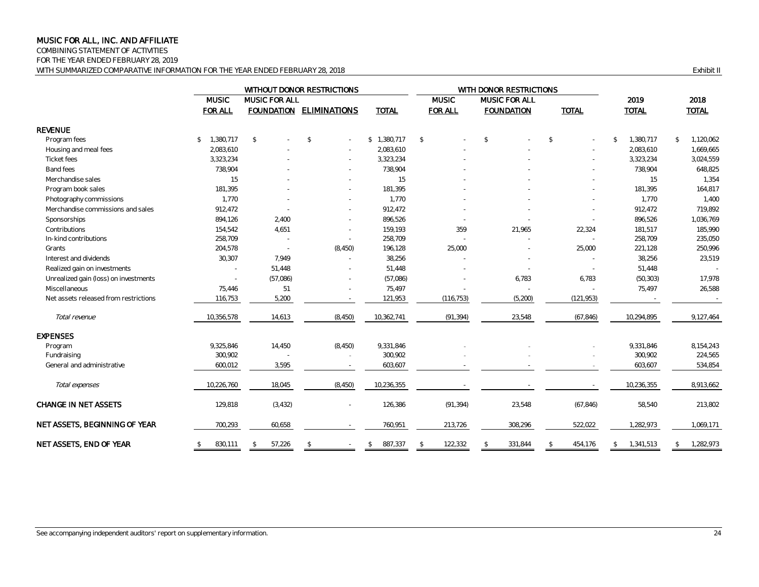#### MUSIC FOR ALL, INC. AND AFFILIATE COMBINING STATEMENT OF ACTIVITIES

FOR THE YEAR ENDED FEBRUARY 28, 2019 WITH SUMMARIZED COMPARATIVE INFORMATION FOR THE YEAR ENDED FEBRUARY 28, 2018 CHANGED FOR THE STATION OF EXHIbit II

|                                       | WITHOUT DONOR RESTRICTIONS |                      |                                |               |                | WITH DONOR RESTRICTIONS |                          |                            |                           |  |
|---------------------------------------|----------------------------|----------------------|--------------------------------|---------------|----------------|-------------------------|--------------------------|----------------------------|---------------------------|--|
|                                       | <b>MUSIC</b>               | <b>MUSIC FOR ALL</b> |                                |               | <b>MUSIC</b>   | <b>MUSIC FOR ALL</b>    |                          | 2019                       | 2018                      |  |
|                                       | <b>FOR ALL</b>             |                      | <b>FOUNDATION ELIMINATIONS</b> | <b>TOTAL</b>  | <b>FOR ALL</b> | <b>FOUNDATION</b>       | <b>TOTAL</b>             | <b>TOTAL</b>               | <b>TOTAL</b>              |  |
| <b>REVENUE</b>                        |                            |                      |                                |               |                |                         |                          |                            |                           |  |
| Program fees                          | 1,380,717<br>\$.           | $\mathbb{S}$         | $\mathcal{L}$                  | \$1,380,717   | $\sqrt[6]{2}$  | \$                      | $\mathbb{S}$             | 1,380,717<br>$\mathcal{L}$ | 1,120,062<br>$\mathbb{S}$ |  |
| Housing and meal fees                 | 2,083,610                  |                      | $\sim$                         | 2,083,610     |                |                         | $\overline{\phantom{a}}$ | 2,083,610                  | 1,669,665                 |  |
| Ticket fees                           | 3,323,234                  |                      |                                | 3,323,234     |                |                         |                          | 3,323,234                  | 3,024,559                 |  |
| <b>Band fees</b>                      | 738,904                    |                      |                                | 738,904       |                |                         |                          | 738,904                    | 648,825                   |  |
| Merchandise sales                     | 15                         |                      |                                | 15            |                |                         |                          | 15                         | 1,354                     |  |
| Program book sales                    | 181,395                    |                      |                                | 181,395       |                |                         |                          | 181,395                    | 164,817                   |  |
| Photography commissions               | 1,770                      |                      |                                | 1,770         |                |                         |                          | 1,770                      | 1,400                     |  |
| Merchandise commissions and sales     | 912,472                    |                      |                                | 912,472       |                |                         |                          | 912,472                    | 719,892                   |  |
| Sponsorships                          | 894,126                    | 2,400                |                                | 896,526       |                |                         |                          | 896,526                    | 1,036,769                 |  |
| Contributions                         | 154,542                    | 4,651                |                                | 159,193       | 359            | 21,965                  | 22,324                   | 181,517                    | 185,990                   |  |
| In-kind contributions                 | 258,709                    |                      |                                | 258,709       |                |                         | ÷,                       | 258,709                    | 235,050                   |  |
| Grants                                | 204,578                    | $\sim$               | (8, 450)                       | 196,128       | 25,000         |                         | 25,000                   | 221,128                    | 250,996                   |  |
| Interest and dividends                | 30,307                     | 7,949                |                                | 38,256        |                |                         |                          | 38,256                     | 23,519                    |  |
| Realized gain on investments          |                            | 51,448               |                                | 51,448        |                |                         |                          | 51,448                     |                           |  |
| Unrealized gain (loss) on investments |                            | (57,086)             | $\sim$                         | (57,086)      |                | 6,783                   | 6,783                    | (50, 303)                  | 17,978                    |  |
| Miscellaneous                         | 75,446                     | 51                   |                                | 75,497        |                |                         |                          | 75,497                     | 26,588                    |  |
| Net assets released from restrictions | 116,753                    | 5,200                |                                | 121,953       | (116, 753)     | (5,200)                 | (121, 953)               |                            |                           |  |
| Total revenue                         | 10,356,578                 | 14,613               | (8, 450)                       | 10,362,741    | (91, 394)      | 23,548                  | (67, 846)                | 10,294,895                 | 9,127,464                 |  |
| <b>EXPENSES</b>                       |                            |                      |                                |               |                |                         |                          |                            |                           |  |
| Program                               | 9,325,846                  | 14,450               | (8, 450)                       | 9,331,846     |                |                         |                          | 9.331.846                  | 8,154,243                 |  |
| Fundraising                           | 300,902                    |                      |                                | 300,902       |                |                         |                          | 300,902                    | 224,565                   |  |
| General and administrative            | 600,012                    | 3,595                |                                | 603,607       |                |                         |                          | 603,607                    | 534,854                   |  |
| Total expenses                        | 10,226,760                 | 18,045               | (8, 450)                       | 10,236,355    |                |                         |                          | 10,236,355                 | 8,913,662                 |  |
| <b>CHANGE IN NET ASSETS</b>           | 129,818                    | (3, 432)             |                                | 126,386       | (91, 394)      | 23,548                  | (67, 846)                | 58,540                     | 213,802                   |  |
| NET ASSETS, BEGINNING OF YEAR         | 700,293                    | 60,658               |                                | 760,951       | 213,726        | 308,296                 | 522,022                  | 1,282,973                  | 1,069,171                 |  |
| NET ASSETS, END OF YEAR               | 830,111                    | 57,226<br>-S         | \$                             | 887,337<br>\$ | 122,332<br>\$  | 331,844<br>\$           | 454,176<br>\$            | 1,341,513<br>\$            | 1,282,973<br>\$           |  |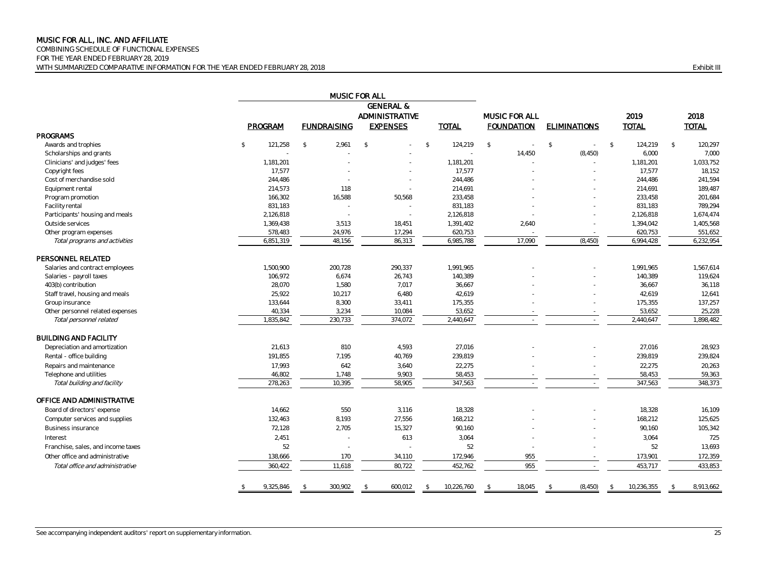COMBINING SCHEDULE OF FUNCTIONAL EXPENSES FOR THE YEAR ENDED FEBRUARY 28, 2019

WITH SUMMARIZED COMPARATIVE INFORMATION FOR THE YEAR ENDED FEBRUARY 28, 2018 FOR THE STREET STREET ASSESSED FOR THE STREET OF THE VEAR ENDED FEBRUARY 28, 2018

|                                    |                          |                       | MUSIC FOR ALL                                                    |                          |                                           |                         |                          |                         |  |
|------------------------------------|--------------------------|-----------------------|------------------------------------------------------------------|--------------------------|-------------------------------------------|-------------------------|--------------------------|-------------------------|--|
|                                    | PROGRAM                  | <b>FUNDRAISING</b>    | <b>GENERAL &amp;</b><br><b>ADMINISTRATIVE</b><br><b>EXPENSES</b> | <b>TOTAL</b>             | <b>MUSIC FOR ALL</b><br><b>FOUNDATION</b> | <b>ELIMINATIONS</b>     | 2019<br><b>TOTAL</b>     | 2018<br><b>TOTAL</b>    |  |
| <b>PROGRAMS</b>                    |                          |                       |                                                                  |                          |                                           |                         |                          |                         |  |
| Awards and trophies                | 121,258<br>$\mathcal{S}$ | $\mathbb{S}$<br>2,961 | $\mathcal{S}$                                                    | 124,219<br>$\mathcal{S}$ | $\mathbb{S}$                              | $\mathcal{L}$<br>$\sim$ | $\mathcal{L}$<br>124,219 | $\mathbb{S}$<br>120,297 |  |
| Scholarships and grants            |                          |                       |                                                                  | ÷,                       | 14,450                                    | (8, 450)                | 6,000                    | 7,000                   |  |
| Clinicians' and judges' fees       | 1,181,201                |                       |                                                                  | 1,181,201                |                                           |                         | 1,181,201                | 1,033,752               |  |
| Copyright fees                     | 17.577                   |                       |                                                                  | 17,577                   |                                           |                         | 17.577                   | 18,152                  |  |
| Cost of merchandise sold           | 244,486                  |                       |                                                                  | 244,486                  |                                           |                         | 244,486                  | 241,594                 |  |
| Equipment rental                   | 214,573                  | 118                   | ÷.                                                               | 214,691                  |                                           |                         | 214,691                  | 189,487                 |  |
| Program promotion                  | 166,302                  | 16,588                | 50,568                                                           | 233,458                  |                                           |                         | 233,458                  | 201,684                 |  |
| Facility rental                    | 831.183                  | $\sim$                |                                                                  | 831,183                  |                                           |                         | 831,183                  | 789,294                 |  |
| Participants' housing and meals    | 2,126,818                |                       | ÷,                                                               | 2,126,818                |                                           |                         | 2,126,818                | 1,674,474               |  |
| Outside services                   | 1,369,438                | 3,513                 | 18,451                                                           | 1,391,402                | 2,640                                     |                         | 1,394,042                | 1,405,568               |  |
| Other program expenses             | 578,483                  | 24,976                | 17,294                                                           | 620,753                  |                                           |                         | 620,753                  | 551,652                 |  |
| Total programs and activities      | 6,851,319                | 48,156                | 86,313                                                           | 6,985,788                | 17,090                                    | (8, 450)                | 6,994,428                | 6,232,954               |  |
| <b>PERSONNEL RELATED</b>           |                          |                       |                                                                  |                          |                                           |                         |                          |                         |  |
| Salaries and contract employees    | 1,500,900                | 200,728               | 290,337                                                          | 1,991,965                |                                           |                         | 1,991,965                | 1,567,614               |  |
| Salaries - payroll taxes           | 106.972                  | 6,674                 | 26,743                                                           | 140,389                  |                                           |                         | 140,389                  | 119,624                 |  |
| 403(b) contribution                | 28,070                   | 1,580                 | 7,017                                                            | 36,667                   |                                           |                         | 36,667                   | 36,118                  |  |
| Staff travel, housing and meals    | 25,922                   | 10,217                | 6,480                                                            | 42,619                   |                                           |                         | 42,619                   | 12,641                  |  |
| Group insurance                    | 133,644                  | 8,300                 | 33,411                                                           | 175,355                  |                                           |                         | 175,355                  | 137,257                 |  |
| Other personnel related expenses   | 40,334                   | 3,234                 | 10,084                                                           | 53,652                   |                                           |                         | 53,652                   | 25,228                  |  |
| Total personnel related            | 1,835,842                | 230,733               | 374,072                                                          | 2,440,647                |                                           |                         | 2,440,647                | 1,898,482               |  |
| <b>BUILDING AND FACILITY</b>       |                          |                       |                                                                  |                          |                                           |                         |                          |                         |  |
| Depreciation and amortization      | 21,613                   | 810                   | 4,593                                                            | 27,016                   |                                           |                         | 27,016                   | 28,923                  |  |
| Rental - office building           | 191,855                  | 7,195                 | 40,769                                                           | 239,819                  |                                           |                         | 239,819                  | 239,824                 |  |
| Repairs and maintenance            | 17,993                   | 642                   | 3,640                                                            | 22,275                   |                                           |                         | 22,275                   | 20,263                  |  |
| Telephone and utilities            | 46,802                   | 1,748                 | 9,903                                                            | 58,453                   |                                           |                         | 58,453                   | 59,363                  |  |
| Total building and facility        | 278,263                  | 10,395                | 58,905                                                           | 347,563                  | $\sim$                                    |                         | 347,563                  | 348,373                 |  |
| OFFICE AND ADMINISTRATIVE          |                          |                       |                                                                  |                          |                                           |                         |                          |                         |  |
| Board of directors' expense        | 14.662                   | 550                   | 3.116                                                            | 18.328                   |                                           |                         | 18,328                   | 16,109                  |  |
| Computer services and supplies     | 132,463                  | 8,193                 | 27,556                                                           | 168,212                  |                                           |                         | 168,212                  | 125,625                 |  |
| Business insurance                 | 72,128                   | 2,705                 | 15,327                                                           | 90,160                   |                                           |                         | 90,160                   | 105,342                 |  |
| Interest                           | 2,451                    |                       | 613                                                              | 3,064                    |                                           |                         | 3,064                    | 725                     |  |
| Franchise, sales, and income taxes | 52                       |                       | ÷.                                                               | 52                       |                                           |                         | 52                       | 13,693                  |  |
| Other office and administrative    |                          |                       |                                                                  |                          | 955                                       |                         | 173,901                  | 172,359                 |  |
|                                    | 138,666                  | 170                   | 34,110                                                           | 172,946                  |                                           |                         |                          |                         |  |
| Total office and administrative    | 360,422                  | 11,618                | 80,722                                                           | 452,762                  | 955                                       |                         | 453,717                  | 433,853                 |  |
|                                    | 9,325,846                | 300.902               | 600,012                                                          | 10,226,760               | 18,045                                    | (8, 450)                | 10,236,355               | 8,913,662               |  |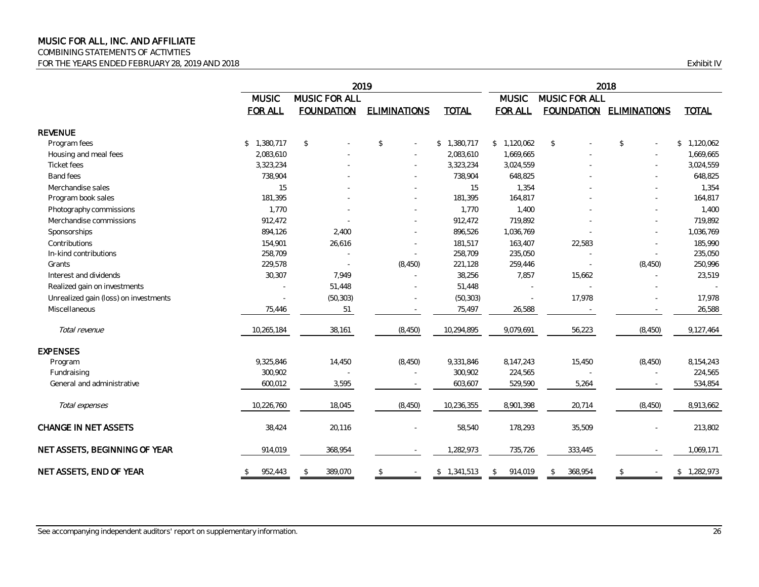#### COMBINING STATEMENTS OF ACTIVITIES FOR THE YEARS ENDED FEBRUARY 28, 2019 AND 2018 CONTROL AND THE STATE OF STATE IN THE YEARS ENDED FEBRUARY 28, 2019 AND 2018

|                                       | 2019           |              |                   |               |                          |              | 2018           |               |         |    |                                |                 |
|---------------------------------------|----------------|--------------|-------------------|---------------|--------------------------|--------------|----------------|---------------|---------|----|--------------------------------|-----------------|
|                                       | <b>MUSIC</b>   |              | MUSIC FOR ALL     |               |                          |              | <b>MUSIC</b>   | MUSIC FOR ALL |         |    |                                |                 |
|                                       | <b>FOR ALL</b> |              | <b>FOUNDATION</b> |               | <b>ELIMINATIONS</b>      | <b>TOTAL</b> | <b>FOR ALL</b> |               |         |    | <b>FOUNDATION ELIMINATIONS</b> | <b>TOTAL</b>    |
| <b>REVENUE</b>                        |                |              |                   |               |                          |              |                |               |         |    |                                |                 |
| Program fees                          | \$1,380,717    | $\mathbb{S}$ |                   | $\mathcal{L}$ | ÷,                       | \$1,380,717  | \$1,120,062    | $\mathcal{L}$ |         | \$ |                                | \$1,120,062     |
| Housing and meal fees                 | 2,083,610      |              |                   |               |                          | 2,083,610    | 1,669,665      |               |         |    |                                | 1,669,665       |
| <b>Ticket fees</b>                    | 3,323,234      |              |                   |               | $\overline{\phantom{a}}$ | 3,323,234    | 3,024,559      |               |         |    |                                | 3,024,559       |
| <b>Band fees</b>                      | 738,904        |              |                   |               |                          | 738,904      | 648,825        |               |         |    |                                | 648,825         |
| Merchandise sales                     | 15             |              |                   |               | $\overline{\phantom{a}}$ | 15           | 1,354          |               |         |    |                                | 1,354           |
| Program book sales                    | 181,395        |              |                   |               |                          | 181,395      | 164,817        |               |         |    |                                | 164,817         |
| Photography commissions               | 1,770          |              |                   |               | $\sim$                   | 1,770        | 1,400          |               |         |    |                                | 1,400           |
| Merchandise commissions               | 912,472        |              |                   |               |                          | 912,472      | 719,892        |               |         |    |                                | 719,892         |
| Sponsorships                          | 894,126        |              | 2,400             |               |                          | 896,526      | 1,036,769      |               |         |    |                                | 1,036,769       |
| Contributions                         | 154,901        |              | 26,616            |               |                          | 181,517      | 163,407        |               | 22,583  |    |                                | 185,990         |
| In-kind contributions                 | 258,709        |              |                   |               |                          | 258,709      | 235,050        |               |         |    |                                | 235,050         |
| Grants                                | 229,578        |              |                   |               | (8, 450)                 | 221,128      | 259,446        |               |         |    | (8, 450)                       | 250,996         |
| Interest and dividends                | 30,307         |              | 7,949             |               |                          | 38,256       | 7,857          |               | 15,662  |    |                                | 23,519          |
| Realized gain on investments          |                |              | 51,448            |               |                          | 51,448       |                |               |         |    |                                |                 |
| Unrealized gain (loss) on investments |                |              | (50, 303)         |               |                          | (50, 303)    |                |               | 17,978  |    |                                | 17,978          |
| Miscellaneous                         | 75,446         |              | 51                |               |                          | 75,497       | 26,588         |               | $\sim$  |    |                                | 26,588          |
| Total revenue                         | 10,265,184     |              | 38,161            |               | (8, 450)                 | 10,294,895   | 9,079,691      |               | 56,223  |    | (8, 450)                       | 9,127,464       |
| <b>EXPENSES</b>                       |                |              |                   |               |                          |              |                |               |         |    |                                |                 |
| Program                               | 9,325,846      |              | 14,450            |               | (8, 450)                 | 9,331,846    | 8,147,243      |               | 15,450  |    | (8, 450)                       | 8,154,243       |
| Fundraising                           | 300,902        |              |                   |               | $\overline{\phantom{a}}$ | 300,902      | 224,565        |               |         |    |                                | 224,565         |
| General and administrative            | 600,012        |              | 3,595             |               |                          | 603,607      | 529,590        |               | 5,264   |    |                                | 534,854         |
| Total expenses                        | 10,226,760     |              | 18,045            |               | (8, 450)                 | 10,236,355   | 8,901,398      |               | 20,714  |    | (8, 450)                       | 8,913,662       |
| CHANGE IN NET ASSETS                  | 38,424         |              | 20,116            |               |                          | 58,540       | 178,293        |               | 35,509  |    |                                | 213,802         |
| NET ASSETS, BEGINNING OF YEAR         | 914,019        |              | 368,954           |               |                          | 1,282,973    | 735,726        |               | 333,445 |    |                                | 1,069,171       |
| NET ASSETS, END OF YEAR               | 952,443<br>\$  | $\mathbb{S}$ | 389,070           | $\sqrt[6]{2}$ |                          | \$1,341,513  | 914,019<br>\$  | \$            | 368,954 | \$ |                                | 1,282,973<br>\$ |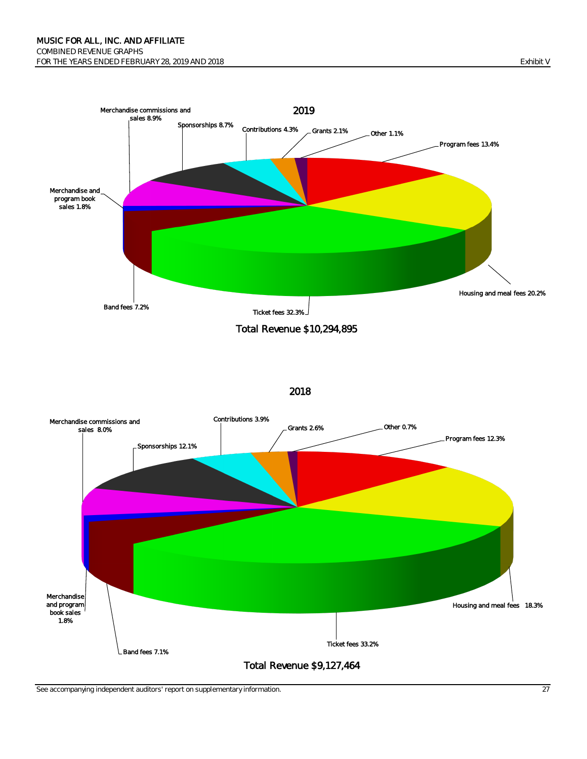

#### 2018



See accompanying independent auditors' report on supplementary information. 27 and 2008 and 2008 and 2008 and 20